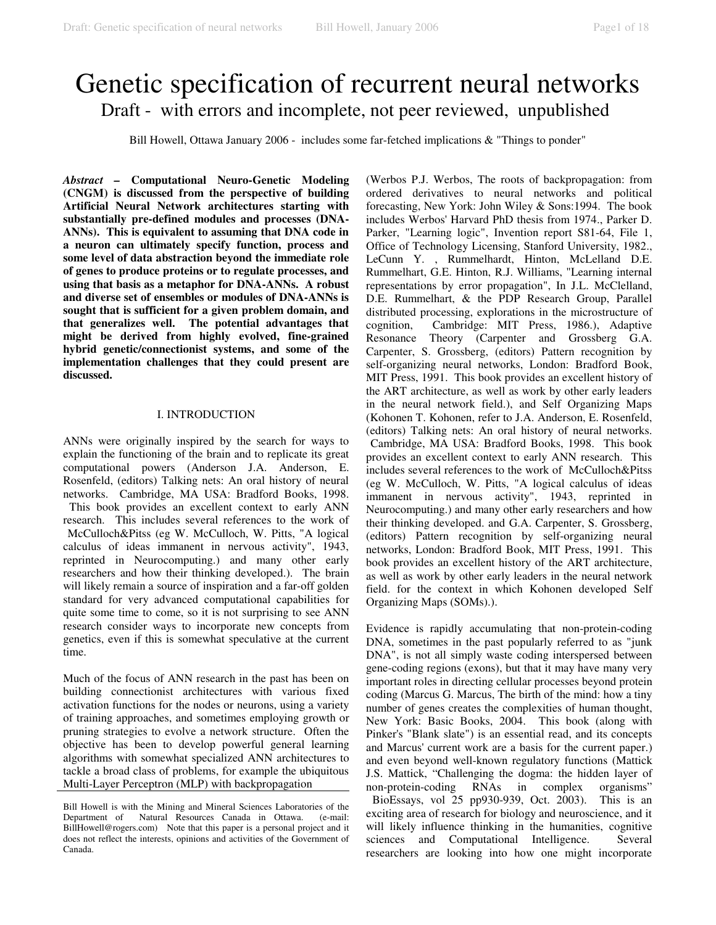# Genetic specification of recurrent neural networks Draft - with errors and incomplete, not peer reviewed, unpublished

Bill Howell, Ottawa January 2006 - includes some far-fetched implications & "Things to ponder"

*Abstract –* **Computational Neuro-Genetic Modeling (CNGM) is discussed from the perspective of building Artificial Neural Network architectures starting with substantially pre-defined modules and processes (DNA-ANNs). This is equivalent to assuming that DNA code in a neuron can ultimately specify function, process and some level of data abstraction beyond the immediate role of genes to produce proteins or to regulate processes, and using that basis as a metaphor for DNA-ANNs. A robust and diverse set of ensembles or modules of DNA-ANNs is sought that is sufficient for a given problem domain, and that generalizes well. The potential advantages that might be derived from highly evolved, fine-grained hybrid genetic/connectionist systems, and some of the implementation challenges that they could present are discussed.** 

#### I. INTRODUCTION

ANNs were originally inspired by the search for ways to explain the functioning of the brain and to replicate its great computational powers (Anderson J.A. Anderson, E. Rosenfeld, (editors) Talking nets: An oral history of neural networks. Cambridge, MA USA: Bradford Books, 1998. This book provides an excellent context to early ANN research. This includes several references to the work of McCulloch&Pitss (eg W. McCulloch, W. Pitts, "A logical calculus of ideas immanent in nervous activity", 1943, reprinted in Neurocomputing.) and many other early researchers and how their thinking developed.). The brain will likely remain a source of inspiration and a far-off golden standard for very advanced computational capabilities for quite some time to come, so it is not surprising to see ANN research consider ways to incorporate new concepts from genetics, even if this is somewhat speculative at the current time.

Much of the focus of ANN research in the past has been on building connectionist architectures with various fixed activation functions for the nodes or neurons, using a variety of training approaches, and sometimes employing growth or pruning strategies to evolve a network structure. Often the objective has been to develop powerful general learning algorithms with somewhat specialized ANN architectures to tackle a broad class of problems, for example the ubiquitous Multi-Layer Perceptron (MLP) with backpropagation

(Werbos P.J. Werbos, The roots of backpropagation: from ordered derivatives to neural networks and political forecasting, New York: John Wiley & Sons:1994. The book includes Werbos' Harvard PhD thesis from 1974., Parker D. Parker, "Learning logic", Invention report S81-64, File 1, Office of Technology Licensing, Stanford University, 1982., LeCunn Y. , Rummelhardt, Hinton, McLelland D.E. Rummelhart, G.E. Hinton, R.J. Williams, "Learning internal representations by error propagation", In J.L. McClelland, D.E. Rummelhart, & the PDP Research Group, Parallel distributed processing, explorations in the microstructure of cognition, Cambridge: MIT Press, 1986.), Adaptive Resonance Theory (Carpenter and Grossberg G.A. Carpenter, S. Grossberg, (editors) Pattern recognition by self-organizing neural networks, London: Bradford Book, MIT Press, 1991. This book provides an excellent history of the ART architecture, as well as work by other early leaders in the neural network field.), and Self Organizing Maps (Kohonen T. Kohonen, refer to J.A. Anderson, E. Rosenfeld, (editors) Talking nets: An oral history of neural networks. Cambridge, MA USA: Bradford Books, 1998. This book provides an excellent context to early ANN research. This includes several references to the work of McCulloch&Pitss (eg W. McCulloch, W. Pitts, "A logical calculus of ideas immanent in nervous activity", 1943, reprinted in Neurocomputing.) and many other early researchers and how their thinking developed. and G.A. Carpenter, S. Grossberg, (editors) Pattern recognition by self-organizing neural networks, London: Bradford Book, MIT Press, 1991. This book provides an excellent history of the ART architecture, as well as work by other early leaders in the neural network field. for the context in which Kohonen developed Self Organizing Maps (SOMs).).

Evidence is rapidly accumulating that non-protein-coding DNA, sometimes in the past popularly referred to as "junk DNA", is not all simply waste coding interspersed between gene-coding regions (exons), but that it may have many very important roles in directing cellular processes beyond protein coding (Marcus G. Marcus, The birth of the mind: how a tiny number of genes creates the complexities of human thought, New York: Basic Books, 2004. This book (along with Pinker's "Blank slate") is an essential read, and its concepts and Marcus' current work are a basis for the current paper.) and even beyond well-known regulatory functions (Mattick J.S. Mattick, "Challenging the dogma: the hidden layer of non-protein-coding RNAs in complex organisms"

BioEssays, vol 25 pp930-939, Oct. 2003). This is an exciting area of research for biology and neuroscience, and it will likely influence thinking in the humanities, cognitive sciences and Computational Intelligence. Several researchers are looking into how one might incorporate

Bill Howell is with the Mining and Mineral Sciences Laboratories of the Department of Natural Resources Canada in Ottawa. (e-mail: BillHowell@rogers.com) Note that this paper is a personal project and it does not reflect the interests, opinions and activities of the Government of Canada.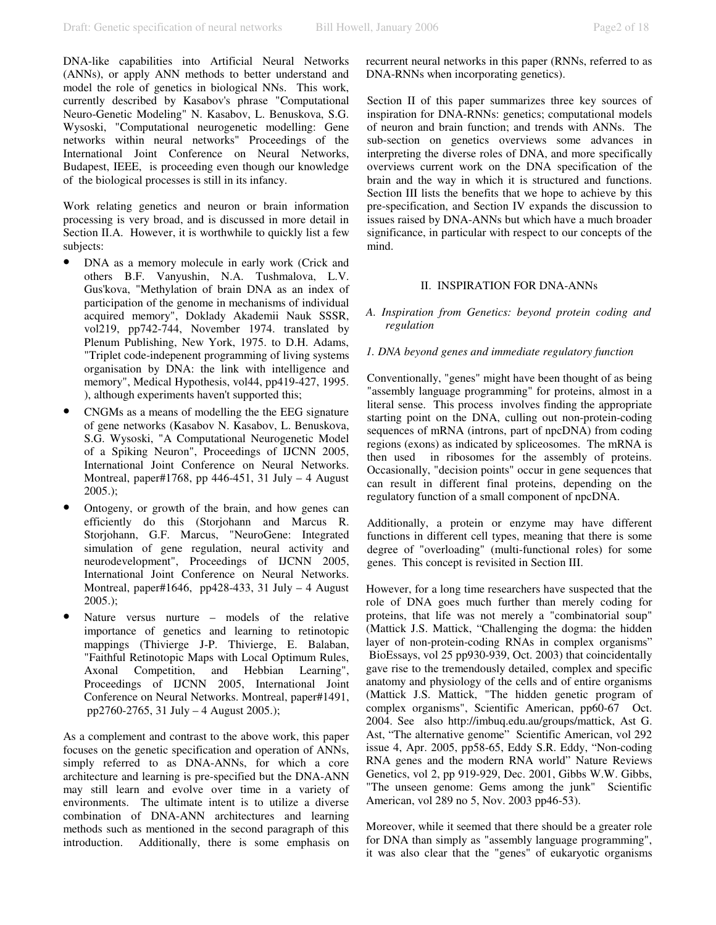DNA-like capabilities into Artificial Neural Networks (ANNs), or apply ANN methods to better understand and model the role of genetics in biological NNs. This work, currently described by Kasabov's phrase "Computational Neuro-Genetic Modeling" N. Kasabov, L. Benuskova, S.G. Wysoski, "Computational neurogenetic modelling: Gene networks within neural networks" Proceedings of the International Joint Conference on Neural Networks, Budapest, IEEE, is proceeding even though our knowledge of the biological processes is still in its infancy.

Work relating genetics and neuron or brain information processing is very broad, and is discussed in more detail in Section II.A. However, it is worthwhile to quickly list a few subjects:

- DNA as a memory molecule in early work (Crick and others B.F. Vanyushin, N.A. Tushmalova, L.V. Gus'kova, "Methylation of brain DNA as an index of participation of the genome in mechanisms of individual acquired memory", Doklady Akademii Nauk SSSR, vol219, pp742-744, November 1974. translated by Plenum Publishing, New York, 1975. to D.H. Adams, "Triplet code-indepenent programming of living systems organisation by DNA: the link with intelligence and memory", Medical Hypothesis, vol44, pp419-427, 1995. ), although experiments haven't supported this;
- CNGMs as a means of modelling the the EEG signature of gene networks (Kasabov N. Kasabov, L. Benuskova, S.G. Wysoski, "A Computational Neurogenetic Model of a Spiking Neuron", Proceedings of IJCNN 2005, International Joint Conference on Neural Networks. Montreal, paper#1768, pp 446-451, 31 July – 4 August  $2005.$ :
- Ontogeny, or growth of the brain, and how genes can efficiently do this (Storjohann and Marcus R. Storjohann, G.F. Marcus, "NeuroGene: Integrated simulation of gene regulation, neural activity and neurodevelopment", Proceedings of IJCNN 2005, International Joint Conference on Neural Networks. Montreal, paper#1646, pp428-433, 31 July – 4 August  $2005.$ :
- Nature versus nurture models of the relative importance of genetics and learning to retinotopic mappings (Thivierge J-P. Thivierge, E. Balaban, "Faithful Retinotopic Maps with Local Optimum Rules, Axonal Competition, and Hebbian Learning", Proceedings of IJCNN 2005, International Joint Conference on Neural Networks. Montreal, paper#1491, pp2760-2765, 31 July – 4 August 2005.);

As a complement and contrast to the above work, this paper focuses on the genetic specification and operation of ANNs, simply referred to as DNA-ANNs, for which a core architecture and learning is pre-specified but the DNA-ANN may still learn and evolve over time in a variety of environments. The ultimate intent is to utilize a diverse combination of DNA-ANN architectures and learning methods such as mentioned in the second paragraph of this introduction. Additionally, there is some emphasis on recurrent neural networks in this paper (RNNs, referred to as DNA-RNNs when incorporating genetics).

Section II of this paper summarizes three key sources of inspiration for DNA-RNNs: genetics; computational models of neuron and brain function; and trends with ANNs. The sub-section on genetics overviews some advances in interpreting the diverse roles of DNA, and more specifically overviews current work on the DNA specification of the brain and the way in which it is structured and functions. Section III lists the benefits that we hope to achieve by this pre-specification, and Section IV expands the discussion to issues raised by DNA-ANNs but which have a much broader significance, in particular with respect to our concepts of the mind.

### II. INSPIRATION FOR DNA-ANNs

*A. Inspiration from Genetics: beyond protein coding and regulation*

### *1. DNA beyond genes and immediate regulatory function*

Conventionally, "genes" might have been thought of as being "assembly language programming" for proteins, almost in a literal sense. This process involves finding the appropriate starting point on the DNA, culling out non-protein-coding sequences of mRNA (introns, part of npcDNA) from coding regions (exons) as indicated by spliceosomes. The mRNA is then used in ribosomes for the assembly of proteins. Occasionally, "decision points" occur in gene sequences that can result in different final proteins, depending on the regulatory function of a small component of npcDNA.

Additionally, a protein or enzyme may have different functions in different cell types, meaning that there is some degree of "overloading" (multi-functional roles) for some genes. This concept is revisited in Section III.

However, for a long time researchers have suspected that the role of DNA goes much further than merely coding for proteins, that life was not merely a "combinatorial soup" (Mattick J.S. Mattick, "Challenging the dogma: the hidden layer of non-protein-coding RNAs in complex organisms" BioEssays, vol 25 pp930-939, Oct. 2003) that coincidentally gave rise to the tremendously detailed, complex and specific anatomy and physiology of the cells and of entire organisms (Mattick J.S. Mattick, "The hidden genetic program of complex organisms", Scientific American, pp60-67 Oct. 2004. See also http://imbuq.edu.au/groups/mattick, Ast G. Ast, "The alternative genome" Scientific American, vol 292 issue 4, Apr. 2005, pp58-65, Eddy S.R. Eddy, "Non-coding RNA genes and the modern RNA world" Nature Reviews Genetics, vol 2, pp 919-929, Dec. 2001, Gibbs W.W. Gibbs, "The unseen genome: Gems among the junk" Scientific American, vol 289 no 5, Nov. 2003 pp46-53).

Moreover, while it seemed that there should be a greater role for DNA than simply as "assembly language programming", it was also clear that the "genes" of eukaryotic organisms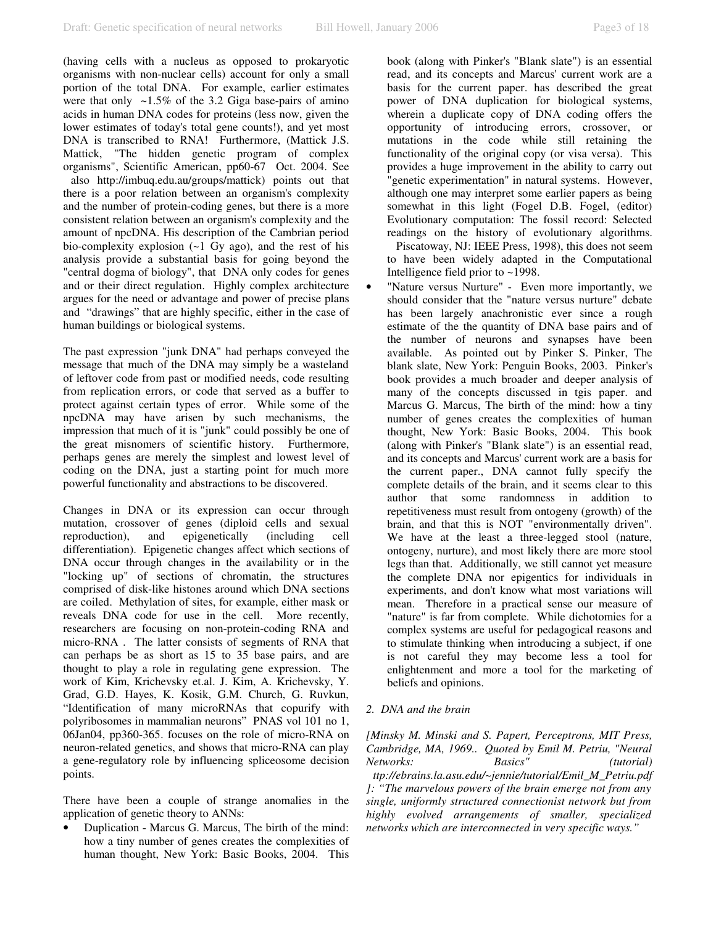(having cells with a nucleus as opposed to prokaryotic organisms with non-nuclear cells) account for only a small portion of the total DNA. For example, earlier estimates were that only  $\sim 1.5\%$  of the 3.2 Giga base-pairs of amino acids in human DNA codes for proteins (less now, given the lower estimates of today's total gene counts!), and yet most DNA is transcribed to RNA! Furthermore, (Mattick J.S. Mattick, "The hidden genetic program of complex organisms", Scientific American, pp60-67 Oct. 2004. See also http://imbuq.edu.au/groups/mattick) points out that there is a poor relation between an organism's complexity and the number of protein-coding genes, but there is a more consistent relation between an organism's complexity and the amount of npcDNA. His description of the Cambrian period bio-complexity explosion  $(-1)$  Gy ago), and the rest of his analysis provide a substantial basis for going beyond the "central dogma of biology", that DNA only codes for genes and or their direct regulation. Highly complex architecture argues for the need or advantage and power of precise plans and "drawings" that are highly specific, either in the case of human buildings or biological systems.

The past expression "junk DNA" had perhaps conveyed the message that much of the DNA may simply be a wasteland of leftover code from past or modified needs, code resulting from replication errors, or code that served as a buffer to protect against certain types of error. While some of the npcDNA may have arisen by such mechanisms, the impression that much of it is "junk" could possibly be one of the great misnomers of scientific history. Furthermore, perhaps genes are merely the simplest and lowest level of coding on the DNA, just a starting point for much more powerful functionality and abstractions to be discovered.

Changes in DNA or its expression can occur through mutation, crossover of genes (diploid cells and sexual reproduction), and epigenetically (including cell differentiation). Epigenetic changes affect which sections of DNA occur through changes in the availability or in the "locking up" of sections of chromatin, the structures comprised of disk-like histones around which DNA sections are coiled. Methylation of sites, for example, either mask or reveals DNA code for use in the cell. More recently, researchers are focusing on non-protein-coding RNA and micro-RNA . The latter consists of segments of RNA that can perhaps be as short as 15 to 35 base pairs, and are thought to play a role in regulating gene expression. The work of Kim, Krichevsky et.al. J. Kim, A. Krichevsky, Y. Grad, G.D. Hayes, K. Kosik, G.M. Church, G. Ruvkun, "Identification of many microRNAs that copurify with polyribosomes in mammalian neurons" PNAS vol 101 no 1, 06Jan04, pp360-365. focuses on the role of micro-RNA on neuron-related genetics, and shows that micro-RNA can play a gene-regulatory role by influencing spliceosome decision points.

There have been a couple of strange anomalies in the application of genetic theory to ANNs:

• Duplication - Marcus G. Marcus, The birth of the mind: how a tiny number of genes creates the complexities of human thought, New York: Basic Books, 2004. This

book (along with Pinker's "Blank slate") is an essential read, and its concepts and Marcus' current work are a basis for the current paper. has described the great power of DNA duplication for biological systems, wherein a duplicate copy of DNA coding offers the opportunity of introducing errors, crossover, or mutations in the code while still retaining the functionality of the original copy (or visa versa). This provides a huge improvement in the ability to carry out "genetic experimentation" in natural systems. However, although one may interpret some earlier papers as being somewhat in this light (Fogel D.B. Fogel, (editor) Evolutionary computation: The fossil record: Selected readings on the history of evolutionary algorithms. Piscatoway, NJ: IEEE Press, 1998), this does not seem to have been widely adapted in the Computational Intelligence field prior to ~1998.

"Nature versus Nurture" - Even more importantly, we should consider that the "nature versus nurture" debate has been largely anachronistic ever since a rough estimate of the the quantity of DNA base pairs and of the number of neurons and synapses have been available. As pointed out by Pinker S. Pinker, The blank slate, New York: Penguin Books, 2003. Pinker's book provides a much broader and deeper analysis of many of the concepts discussed in tgis paper. and Marcus G. Marcus, The birth of the mind: how a tiny number of genes creates the complexities of human thought, New York: Basic Books, 2004. This book (along with Pinker's "Blank slate") is an essential read, and its concepts and Marcus' current work are a basis for the current paper., DNA cannot fully specify the complete details of the brain, and it seems clear to this author that some randomness in addition to repetitiveness must result from ontogeny (growth) of the brain, and that this is NOT "environmentally driven". We have at the least a three-legged stool (nature, ontogeny, nurture), and most likely there are more stool legs than that. Additionally, we still cannot yet measure the complete DNA nor epigentics for individuals in experiments, and don't know what most variations will mean. Therefore in a practical sense our measure of "nature" is far from complete. While dichotomies for a complex systems are useful for pedagogical reasons and to stimulate thinking when introducing a subject, if one is not careful they may become less a tool for enlightenment and more a tool for the marketing of beliefs and opinions.

### *2. DNA and the brain*

*[Minsky M. Minski and S. Papert, Perceptrons, MIT Press, Cambridge, MA, 1969.. Quoted by Emil M. Petriu, "Neural Networks: Basics" (tutorial) ttp://ebrains.la.asu.edu/~jennie/tutorial/Emil\_M\_Petriu.pdf ]: "The marvelous powers of the brain emerge not from any single, uniformly structured connectionist network but from highly evolved arrangements of smaller, specialized networks which are interconnected in very specific ways."*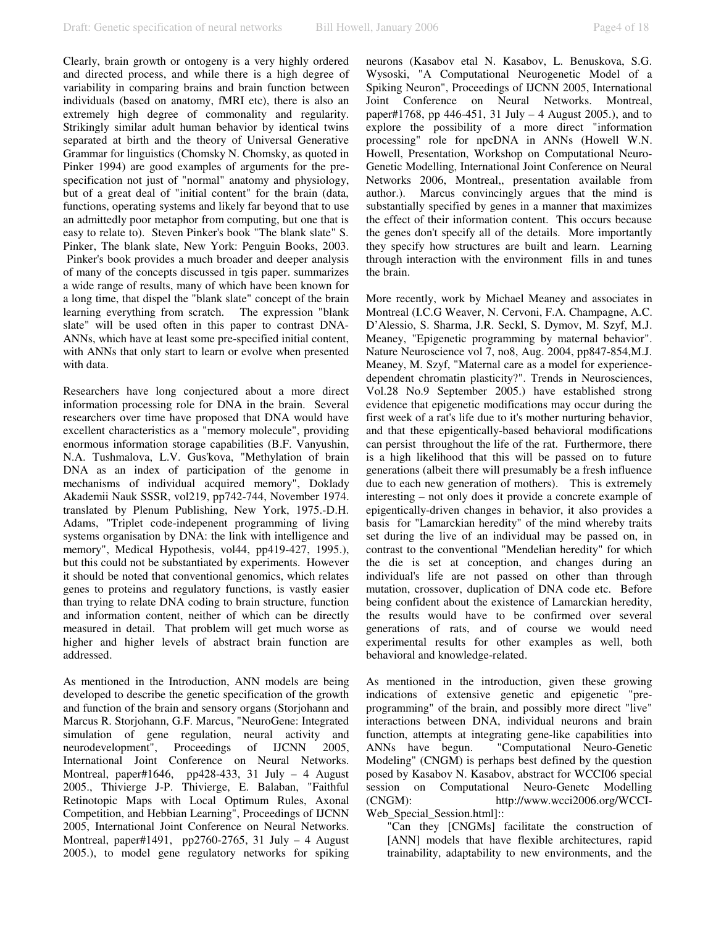Clearly, brain growth or ontogeny is a very highly ordered and directed process, and while there is a high degree of variability in comparing brains and brain function between individuals (based on anatomy, fMRI etc), there is also an extremely high degree of commonality and regularity. Strikingly similar adult human behavior by identical twins separated at birth and the theory of Universal Generative Grammar for linguistics (Chomsky N. Chomsky, as quoted in Pinker 1994) are good examples of arguments for the prespecification not just of "normal" anatomy and physiology, but of a great deal of "initial content" for the brain (data, functions, operating systems and likely far beyond that to use an admittedly poor metaphor from computing, but one that is easy to relate to). Steven Pinker's book "The blank slate" S. Pinker, The blank slate, New York: Penguin Books, 2003. Pinker's book provides a much broader and deeper analysis of many of the concepts discussed in tgis paper. summarizes a wide range of results, many of which have been known for a long time, that dispel the "blank slate" concept of the brain learning everything from scratch. The expression "blank slate" will be used often in this paper to contrast DNA-ANNs, which have at least some pre-specified initial content, with ANNs that only start to learn or evolve when presented with data.

Researchers have long conjectured about a more direct information processing role for DNA in the brain. Several researchers over time have proposed that DNA would have excellent characteristics as a "memory molecule", providing enormous information storage capabilities (B.F. Vanyushin, N.A. Tushmalova, L.V. Gus'kova, "Methylation of brain DNA as an index of participation of the genome in mechanisms of individual acquired memory", Doklady Akademii Nauk SSSR, vol219, pp742-744, November 1974. translated by Plenum Publishing, New York, 1975.-D.H. Adams, "Triplet code-indepenent programming of living systems organisation by DNA: the link with intelligence and memory", Medical Hypothesis, vol44, pp419-427, 1995.), but this could not be substantiated by experiments. However it should be noted that conventional genomics, which relates genes to proteins and regulatory functions, is vastly easier than trying to relate DNA coding to brain structure, function and information content, neither of which can be directly measured in detail. That problem will get much worse as higher and higher levels of abstract brain function are addressed.

As mentioned in the Introduction, ANN models are being developed to describe the genetic specification of the growth and function of the brain and sensory organs (Storjohann and Marcus R. Storjohann, G.F. Marcus, "NeuroGene: Integrated simulation of gene regulation, neural activity and neurodevelopment", Proceedings of IJCNN 2005, International Joint Conference on Neural Networks. Montreal, paper#1646, pp428-433, 31 July – 4 August 2005., Thivierge J-P. Thivierge, E. Balaban, "Faithful Retinotopic Maps with Local Optimum Rules, Axonal Competition, and Hebbian Learning", Proceedings of IJCNN 2005, International Joint Conference on Neural Networks. Montreal, paper#1491, pp2760-2765, 31 July – 4 August 2005.), to model gene regulatory networks for spiking neurons (Kasabov etal N. Kasabov, L. Benuskova, S.G. Wysoski, "A Computational Neurogenetic Model of a Spiking Neuron", Proceedings of IJCNN 2005, International Joint Conference on Neural Networks. Montreal, paper#1768, pp 446-451, 31 July – 4 August 2005.), and to explore the possibility of a more direct "information processing" role for npcDNA in ANNs (Howell W.N. Howell, Presentation, Workshop on Computational Neuro-Genetic Modelling, International Joint Conference on Neural Networks 2006, Montreal,, presentation available from author.). Marcus convincingly argues that the mind is substantially specified by genes in a manner that maximizes the effect of their information content. This occurs because the genes don't specify all of the details. More importantly they specify how structures are built and learn. Learning through interaction with the environment fills in and tunes the brain.

More recently, work by Michael Meaney and associates in Montreal (I.C.G Weaver, N. Cervoni, F.A. Champagne, A.C. D'Alessio, S. Sharma, J.R. Seckl, S. Dymov, M. Szyf, M.J. Meaney, "Epigenetic programming by maternal behavior". Nature Neuroscience vol 7, no8, Aug. 2004, pp847-854,M.J. Meaney, M. Szyf, "Maternal care as a model for experiencedependent chromatin plasticity?". Trends in Neurosciences, Vol.28 No.9 September 2005.) have established strong evidence that epigenetic modifications may occur during the first week of a rat's life due to it's mother nurturing behavior, and that these epigentically-based behavioral modifications can persist throughout the life of the rat. Furthermore, there is a high likelihood that this will be passed on to future generations (albeit there will presumably be a fresh influence due to each new generation of mothers). This is extremely interesting – not only does it provide a concrete example of epigentically-driven changes in behavior, it also provides a basis for "Lamarckian heredity" of the mind whereby traits set during the live of an individual may be passed on, in contrast to the conventional "Mendelian heredity" for which the die is set at conception, and changes during an individual's life are not passed on other than through mutation, crossover, duplication of DNA code etc. Before being confident about the existence of Lamarckian heredity, the results would have to be confirmed over several generations of rats, and of course we would need experimental results for other examples as well, both behavioral and knowledge-related.

As mentioned in the introduction, given these growing indications of extensive genetic and epigenetic "preprogramming" of the brain, and possibly more direct "live" interactions between DNA, individual neurons and brain function, attempts at integrating gene-like capabilities into ANNs have begun. "Computational Neuro-Genetic Modeling" (CNGM) is perhaps best defined by the question posed by Kasabov N. Kasabov, abstract for WCCI06 special session on Computational Neuro-Genetc Modelling (CNGM): http://www.wcci2006.org/WCCI-Web Special Session.html.:

"Can they [CNGMs] facilitate the construction of [ANN] models that have flexible architectures, rapid trainability, adaptability to new environments, and the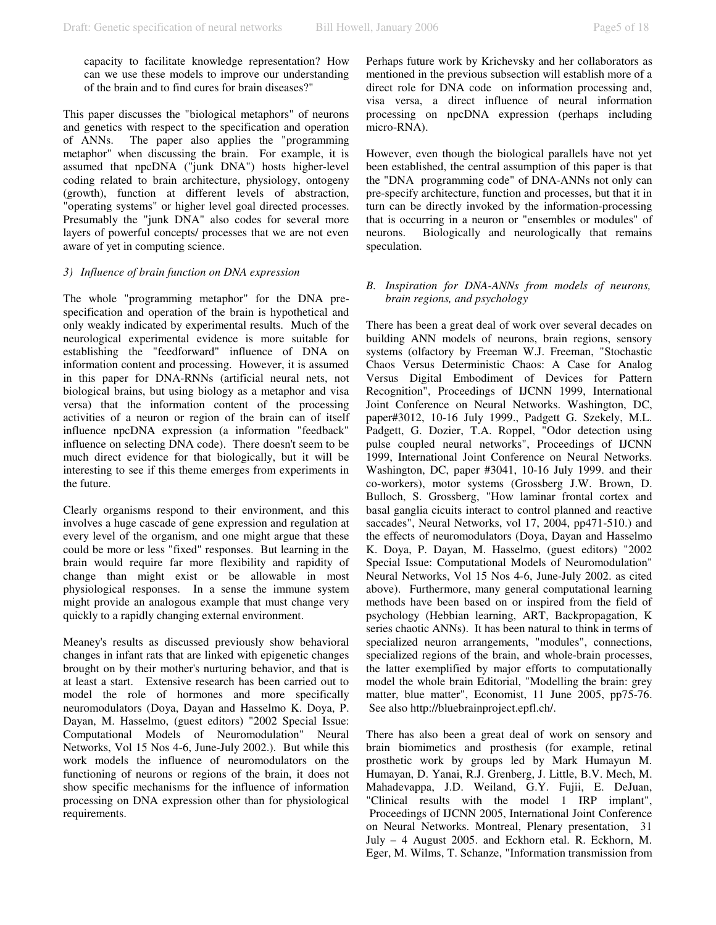capacity to facilitate knowledge representation? How can we use these models to improve our understanding of the brain and to find cures for brain diseases?"

This paper discusses the "biological metaphors" of neurons and genetics with respect to the specification and operation of ANNs. The paper also applies the "programming metaphor" when discussing the brain. For example, it is assumed that npcDNA ("junk DNA") hosts higher-level coding related to brain architecture, physiology, ontogeny (growth), function at different levels of abstraction, "operating systems" or higher level goal directed processes. Presumably the "junk DNA" also codes for several more layers of powerful concepts/ processes that we are not even aware of yet in computing science.

### *3) Influence of brain function on DNA expression*

The whole "programming metaphor" for the DNA prespecification and operation of the brain is hypothetical and only weakly indicated by experimental results. Much of the neurological experimental evidence is more suitable for establishing the "feedforward" influence of DNA on information content and processing. However, it is assumed in this paper for DNA-RNNs (artificial neural nets, not biological brains, but using biology as a metaphor and visa versa) that the information content of the processing activities of a neuron or region of the brain can of itself influence npcDNA expression (a information "feedback" influence on selecting DNA code). There doesn't seem to be much direct evidence for that biologically, but it will be interesting to see if this theme emerges from experiments in the future.

Clearly organisms respond to their environment, and this involves a huge cascade of gene expression and regulation at every level of the organism, and one might argue that these could be more or less "fixed" responses. But learning in the brain would require far more flexibility and rapidity of change than might exist or be allowable in most physiological responses. In a sense the immune system might provide an analogous example that must change very quickly to a rapidly changing external environment.

Meaney's results as discussed previously show behavioral changes in infant rats that are linked with epigenetic changes brought on by their mother's nurturing behavior, and that is at least a start. Extensive research has been carried out to model the role of hormones and more specifically neuromodulators (Doya, Dayan and Hasselmo K. Doya, P. Dayan, M. Hasselmo, (guest editors) "2002 Special Issue: Computational Models of Neuromodulation" Neural Networks, Vol 15 Nos 4-6, June-July 2002.). But while this work models the influence of neuromodulators on the functioning of neurons or regions of the brain, it does not show specific mechanisms for the influence of information processing on DNA expression other than for physiological requirements.

Perhaps future work by Krichevsky and her collaborators as mentioned in the previous subsection will establish more of a direct role for DNA code on information processing and, visa versa, a direct influence of neural information processing on npcDNA expression (perhaps including micro-RNA).

However, even though the biological parallels have not yet been established, the central assumption of this paper is that the "DNA programming code" of DNA-ANNs not only can pre-specify architecture, function and processes, but that it in turn can be directly invoked by the information-processing that is occurring in a neuron or "ensembles or modules" of neurons. Biologically and neurologically that remains speculation.

### *B. Inspiration for DNA-ANNs from models of neurons, brain regions, and psychology*

There has been a great deal of work over several decades on building ANN models of neurons, brain regions, sensory systems (olfactory by Freeman W.J. Freeman, "Stochastic Chaos Versus Deterministic Chaos: A Case for Analog Versus Digital Embodiment of Devices for Pattern Recognition", Proceedings of IJCNN 1999, International Joint Conference on Neural Networks. Washington, DC, paper#3012, 10-16 July 1999., Padgett G. Szekely, M.L. Padgett, G. Dozier, T.A. Roppel, "Odor detection using pulse coupled neural networks", Proceedings of IJCNN 1999, International Joint Conference on Neural Networks. Washington, DC, paper #3041, 10-16 July 1999. and their co-workers), motor systems (Grossberg J.W. Brown, D. Bulloch, S. Grossberg, "How laminar frontal cortex and basal ganglia cicuits interact to control planned and reactive saccades", Neural Networks, vol 17, 2004, pp471-510.) and the effects of neuromodulators (Doya, Dayan and Hasselmo K. Doya, P. Dayan, M. Hasselmo, (guest editors) "2002 Special Issue: Computational Models of Neuromodulation" Neural Networks, Vol 15 Nos 4-6, June-July 2002. as cited above). Furthermore, many general computational learning methods have been based on or inspired from the field of psychology (Hebbian learning, ART, Backpropagation, K series chaotic ANNs). It has been natural to think in terms of specialized neuron arrangements, "modules", connections, specialized regions of the brain, and whole-brain processes, the latter exemplified by major efforts to computationally model the whole brain Editorial, "Modelling the brain: grey matter, blue matter", Economist, 11 June 2005, pp75-76. See also http://bluebrainproject.epfl.ch/.

There has also been a great deal of work on sensory and brain biomimetics and prosthesis (for example, retinal prosthetic work by groups led by Mark Humayun M. Humayan, D. Yanai, R.J. Grenberg, J. Little, B.V. Mech, M. Mahadevappa, J.D. Weiland, G.Y. Fujii, E. DeJuan, "Clinical results with the model 1 IRP implant", Proceedings of IJCNN 2005, International Joint Conference on Neural Networks. Montreal, Plenary presentation, 31 July – 4 August 2005. and Eckhorn etal. R. Eckhorn, M. Eger, M. Wilms, T. Schanze, "Information transmission from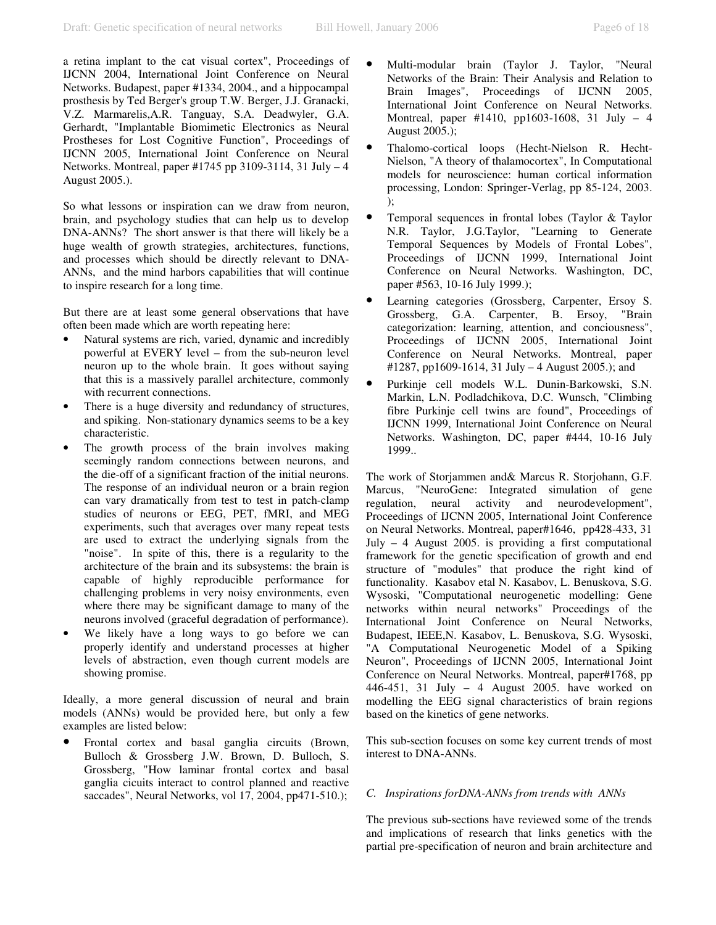a retina implant to the cat visual cortex", Proceedings of IJCNN 2004, International Joint Conference on Neural Networks. Budapest, paper #1334, 2004., and a hippocampal prosthesis by Ted Berger's group T.W. Berger, J.J. Granacki, V.Z. Marmarelis,A.R. Tanguay, S.A. Deadwyler, G.A. Gerhardt, "Implantable Biomimetic Electronics as Neural Prostheses for Lost Cognitive Function", Proceedings of IJCNN 2005, International Joint Conference on Neural Networks. Montreal, paper #1745 pp 3109-3114, 31 July – 4 August 2005.).

So what lessons or inspiration can we draw from neuron, brain, and psychology studies that can help us to develop DNA-ANNs? The short answer is that there will likely be a huge wealth of growth strategies, architectures, functions, and processes which should be directly relevant to DNA-ANNs, and the mind harbors capabilities that will continue to inspire research for a long time.

But there are at least some general observations that have often been made which are worth repeating here:

- Natural systems are rich, varied, dynamic and incredibly powerful at EVERY level – from the sub-neuron level neuron up to the whole brain. It goes without saying that this is a massively parallel architecture, commonly with recurrent connections.
- There is a huge diversity and redundancy of structures, and spiking. Non-stationary dynamics seems to be a key characteristic.
- The growth process of the brain involves making seemingly random connections between neurons, and the die-off of a significant fraction of the initial neurons. The response of an individual neuron or a brain region can vary dramatically from test to test in patch-clamp studies of neurons or EEG, PET, fMRI, and MEG experiments, such that averages over many repeat tests are used to extract the underlying signals from the "noise". In spite of this, there is a regularity to the architecture of the brain and its subsystems: the brain is capable of highly reproducible performance for challenging problems in very noisy environments, even where there may be significant damage to many of the neurons involved (graceful degradation of performance).
- We likely have a long ways to go before we can properly identify and understand processes at higher levels of abstraction, even though current models are showing promise.

Ideally, a more general discussion of neural and brain models (ANNs) would be provided here, but only a few examples are listed below:

• Frontal cortex and basal ganglia circuits (Brown, Bulloch & Grossberg J.W. Brown, D. Bulloch, S. Grossberg, "How laminar frontal cortex and basal ganglia cicuits interact to control planned and reactive saccades", Neural Networks, vol 17, 2004, pp471-510.);

- Multi-modular brain (Taylor J. Taylor, "Neural Networks of the Brain: Their Analysis and Relation to Brain Images", Proceedings of IJCNN 2005, International Joint Conference on Neural Networks. Montreal, paper #1410, pp1603-1608, 31 July – 4 August 2005.);
- Thalomo-cortical loops (Hecht-Nielson R. Hecht-Nielson, "A theory of thalamocortex", In Computational models for neuroscience: human cortical information processing, London: Springer-Verlag, pp 85-124, 2003. );
- Temporal sequences in frontal lobes (Taylor & Taylor N.R. Taylor, J.G.Taylor, "Learning to Generate Temporal Sequences by Models of Frontal Lobes", Proceedings of IJCNN 1999, International Joint Conference on Neural Networks. Washington, DC, paper #563, 10-16 July 1999.);
- Learning categories (Grossberg, Carpenter, Ersoy S. Grossberg, G.A. Carpenter, B. Ersoy, "Brain categorization: learning, attention, and conciousness", Proceedings of IJCNN 2005, International Joint Conference on Neural Networks. Montreal, paper #1287, pp1609-1614, 31 July – 4 August 2005.); and
- Purkinje cell models W.L. Dunin-Barkowski, S.N. Markin, L.N. Podladchikova, D.C. Wunsch, "Climbing fibre Purkinje cell twins are found", Proceedings of IJCNN 1999, International Joint Conference on Neural Networks. Washington, DC, paper #444, 10-16 July 1999..

The work of Storjammen and& Marcus R. Storjohann, G.F. Marcus, "NeuroGene: Integrated simulation of gene regulation, neural activity and neurodevelopment", Proceedings of IJCNN 2005, International Joint Conference on Neural Networks. Montreal, paper#1646, pp428-433, 31 July – 4 August 2005. is providing a first computational framework for the genetic specification of growth and end structure of "modules" that produce the right kind of functionality. Kasabov etal N. Kasabov, L. Benuskova, S.G. Wysoski, "Computational neurogenetic modelling: Gene networks within neural networks" Proceedings of the International Joint Conference on Neural Networks, Budapest, IEEE,N. Kasabov, L. Benuskova, S.G. Wysoski, "A Computational Neurogenetic Model of a Spiking Neuron", Proceedings of IJCNN 2005, International Joint Conference on Neural Networks. Montreal, paper#1768, pp 446-451, 31 July – 4 August 2005. have worked on modelling the EEG signal characteristics of brain regions based on the kinetics of gene networks.

This sub-section focuses on some key current trends of most interest to DNA-ANNs.

### *C. Inspirations forDNA-ANNs from trends with ANNs*

The previous sub-sections have reviewed some of the trends and implications of research that links genetics with the partial pre-specification of neuron and brain architecture and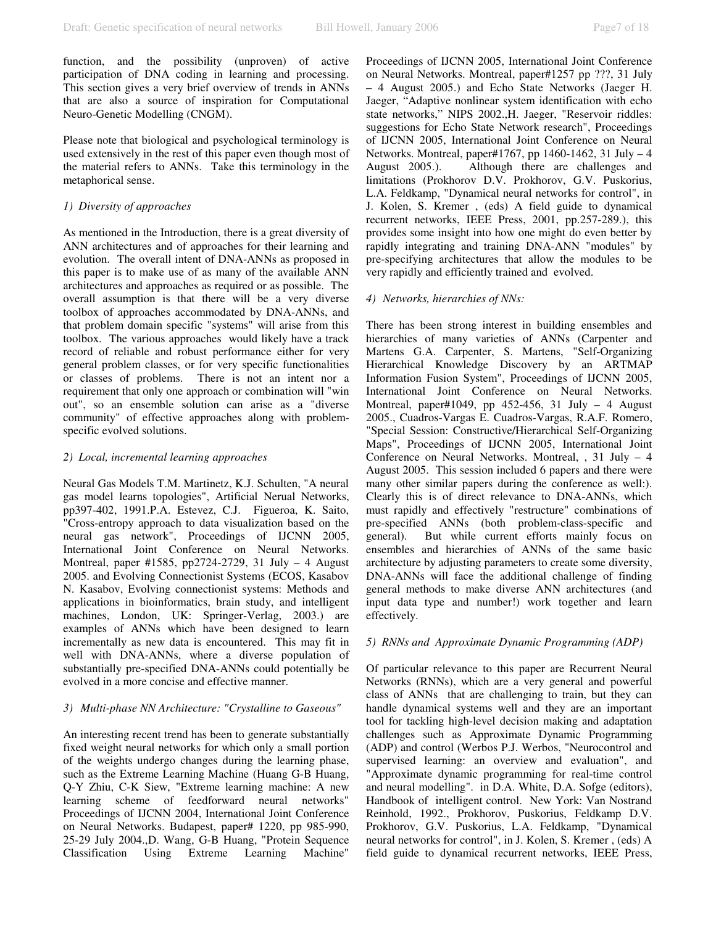function, and the possibility (unproven) of active participation of DNA coding in learning and processing. This section gives a very brief overview of trends in ANNs that are also a source of inspiration for Computational Neuro-Genetic Modelling (CNGM).

Please note that biological and psychological terminology is used extensively in the rest of this paper even though most of the material refers to ANNs. Take this terminology in the metaphorical sense.

### *1) Diversity of approaches*

As mentioned in the Introduction, there is a great diversity of ANN architectures and of approaches for their learning and evolution. The overall intent of DNA-ANNs as proposed in this paper is to make use of as many of the available ANN architectures and approaches as required or as possible. The overall assumption is that there will be a very diverse toolbox of approaches accommodated by DNA-ANNs, and that problem domain specific "systems" will arise from this toolbox. The various approaches would likely have a track record of reliable and robust performance either for very general problem classes, or for very specific functionalities or classes of problems. There is not an intent nor a requirement that only one approach or combination will "win out", so an ensemble solution can arise as a "diverse community" of effective approaches along with problemspecific evolved solutions.

### *2) Local, incremental learning approaches*

Neural Gas Models T.M. Martinetz, K.J. Schulten, "A neural gas model learns topologies", Artificial Nerual Networks, pp397-402, 1991.P.A. Estevez, C.J. Figueroa, K. Saito, "Cross-entropy approach to data visualization based on the neural gas network", Proceedings of IJCNN 2005, International Joint Conference on Neural Networks. Montreal, paper #1585, pp2724-2729, 31 July – 4 August 2005. and Evolving Connectionist Systems (ECOS, Kasabov N. Kasabov, Evolving connectionist systems: Methods and applications in bioinformatics, brain study, and intelligent machines, London, UK: Springer-Verlag, 2003.) are examples of ANNs which have been designed to learn incrementally as new data is encountered. This may fit in well with DNA-ANNs, where a diverse population of substantially pre-specified DNA-ANNs could potentially be evolved in a more concise and effective manner.

### *3) Multi-phase NN Architecture: "Crystalline to Gaseous"*

An interesting recent trend has been to generate substantially fixed weight neural networks for which only a small portion of the weights undergo changes during the learning phase, such as the Extreme Learning Machine (Huang G-B Huang, Q-Y Zhiu, C-K Siew, "Extreme learning machine: A new learning scheme of feedforward neural networks" Proceedings of IJCNN 2004, International Joint Conference on Neural Networks. Budapest, paper# 1220, pp 985-990, 25-29 July 2004.,D. Wang, G-B Huang, "Protein Sequence Classification Using Extreme Learning Machine"

Proceedings of IJCNN 2005, International Joint Conference on Neural Networks. Montreal, paper#1257 pp ???, 31 July – 4 August 2005.) and Echo State Networks (Jaeger H. Jaeger, "Adaptive nonlinear system identification with echo state networks," NIPS 2002.,H. Jaeger, "Reservoir riddles: suggestions for Echo State Network research", Proceedings of IJCNN 2005, International Joint Conference on Neural Networks. Montreal, paper#1767, pp 1460-1462, 31 July – 4 August 2005.). Although there are challenges and limitations (Prokhorov D.V. Prokhorov, G.V. Puskorius, L.A. Feldkamp, "Dynamical neural networks for control", in J. Kolen, S. Kremer , (eds) A field guide to dynamical recurrent networks, IEEE Press, 2001, pp.257-289.), this provides some insight into how one might do even better by rapidly integrating and training DNA-ANN "modules" by pre-specifying architectures that allow the modules to be very rapidly and efficiently trained and evolved.

### *4) Networks, hierarchies of NNs:*

There has been strong interest in building ensembles and hierarchies of many varieties of ANNs (Carpenter and Martens G.A. Carpenter, S. Martens, "Self-Organizing Hierarchical Knowledge Discovery by an ARTMAP Information Fusion System", Proceedings of IJCNN 2005, International Joint Conference on Neural Networks. Montreal, paper#1049, pp 452-456, 31 July – 4 August 2005., Cuadros-Vargas E. Cuadros-Vargas, R.A.F. Romero, "Special Session: Constructive/Hierarchical Self-Organizing Maps", Proceedings of IJCNN 2005, International Joint Conference on Neural Networks. Montreal, , 31 July – 4 August 2005. This session included 6 papers and there were many other similar papers during the conference as well:). Clearly this is of direct relevance to DNA-ANNs, which must rapidly and effectively "restructure" combinations of pre-specified ANNs (both problem-class-specific and general). But while current efforts mainly focus on ensembles and hierarchies of ANNs of the same basic architecture by adjusting parameters to create some diversity, DNA-ANNs will face the additional challenge of finding general methods to make diverse ANN architectures (and input data type and number!) work together and learn effectively.

### *5) RNNs and Approximate Dynamic Programming (ADP)*

Of particular relevance to this paper are Recurrent Neural Networks (RNNs), which are a very general and powerful class of ANNs that are challenging to train, but they can handle dynamical systems well and they are an important tool for tackling high-level decision making and adaptation challenges such as Approximate Dynamic Programming (ADP) and control (Werbos P.J. Werbos, "Neurocontrol and supervised learning: an overview and evaluation", and "Approximate dynamic programming for real-time control and neural modelling". in D.A. White, D.A. Sofge (editors), Handbook of intelligent control. New York: Van Nostrand Reinhold, 1992., Prokhorov, Puskorius, Feldkamp D.V. Prokhorov, G.V. Puskorius, L.A. Feldkamp, "Dynamical neural networks for control", in J. Kolen, S. Kremer , (eds) A field guide to dynamical recurrent networks, IEEE Press,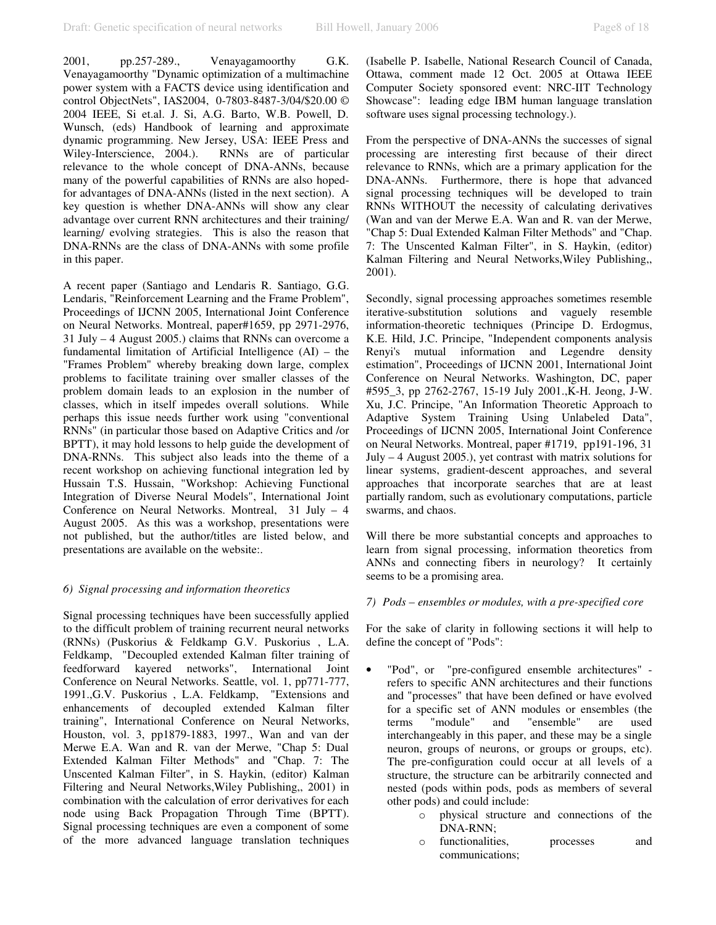2001, pp.257-289., Venayagamoorthy G.K. Venayagamoorthy "Dynamic optimization of a multimachine power system with a FACTS device using identification and control ObjectNets", IAS2004, 0-7803-8487-3/04/\$20.00 © 2004 IEEE, Si et.al. J. Si, A.G. Barto, W.B. Powell, D. Wunsch, (eds) Handbook of learning and approximate dynamic programming. New Jersey, USA: IEEE Press and Wiley-Interscience, 2004.). RNNs are of particular relevance to the whole concept of DNA-ANNs, because many of the powerful capabilities of RNNs are also hopedfor advantages of DNA-ANNs (listed in the next section). A key question is whether DNA-ANNs will show any clear advantage over current RNN architectures and their training/ learning/ evolving strategies. This is also the reason that DNA-RNNs are the class of DNA-ANNs with some profile in this paper.

A recent paper (Santiago and Lendaris R. Santiago, G.G. Lendaris, "Reinforcement Learning and the Frame Problem", Proceedings of IJCNN 2005, International Joint Conference on Neural Networks. Montreal, paper#1659, pp 2971-2976, 31 July – 4 August 2005.) claims that RNNs can overcome a fundamental limitation of Artificial Intelligence (AI) – the "Frames Problem" whereby breaking down large, complex problems to facilitate training over smaller classes of the problem domain leads to an explosion in the number of classes, which in itself impedes overall solutions. While perhaps this issue needs further work using "conventional RNNs" (in particular those based on Adaptive Critics and /or BPTT), it may hold lessons to help guide the development of DNA-RNNs. This subject also leads into the theme of a recent workshop on achieving functional integration led by Hussain T.S. Hussain, "Workshop: Achieving Functional Integration of Diverse Neural Models", International Joint Conference on Neural Networks. Montreal, 31 July – 4 August 2005. As this was a workshop, presentations were not published, but the author/titles are listed below, and presentations are available on the website:.

### *6) Signal processing and information theoretics*

Signal processing techniques have been successfully applied to the difficult problem of training recurrent neural networks (RNNs) (Puskorius & Feldkamp G.V. Puskorius , L.A. Feldkamp, "Decoupled extended Kalman filter training of feedforward kayered networks", International Joint Conference on Neural Networks. Seattle, vol. 1, pp771-777, 1991.,G.V. Puskorius , L.A. Feldkamp, "Extensions and enhancements of decoupled extended Kalman filter training", International Conference on Neural Networks, Houston, vol. 3, pp1879-1883, 1997., Wan and van der Merwe E.A. Wan and R. van der Merwe, "Chap 5: Dual Extended Kalman Filter Methods" and "Chap. 7: The Unscented Kalman Filter", in S. Haykin, (editor) Kalman Filtering and Neural Networks,Wiley Publishing,, 2001) in combination with the calculation of error derivatives for each node using Back Propagation Through Time (BPTT). Signal processing techniques are even a component of some of the more advanced language translation techniques (Isabelle P. Isabelle, National Research Council of Canada, Ottawa, comment made 12 Oct. 2005 at Ottawa IEEE Computer Society sponsored event: NRC-IIT Technology Showcase": leading edge IBM human language translation software uses signal processing technology.).

From the perspective of DNA-ANNs the successes of signal processing are interesting first because of their direct relevance to RNNs, which are a primary application for the DNA-ANNs. Furthermore, there is hope that advanced signal processing techniques will be developed to train RNNs WITHOUT the necessity of calculating derivatives (Wan and van der Merwe E.A. Wan and R. van der Merwe, "Chap 5: Dual Extended Kalman Filter Methods" and "Chap. 7: The Unscented Kalman Filter", in S. Haykin, (editor) Kalman Filtering and Neural Networks,Wiley Publishing,, 2001).

Secondly, signal processing approaches sometimes resemble iterative-substitution solutions and vaguely resemble information-theoretic techniques (Principe D. Erdogmus, K.E. Hild, J.C. Principe, "Independent components analysis Renyi's mutual information and Legendre density estimation", Proceedings of IJCNN 2001, International Joint Conference on Neural Networks. Washington, DC, paper #595\_3, pp 2762-2767, 15-19 July 2001.,K-H. Jeong, J-W. Xu, J.C. Principe, "An Information Theoretic Approach to Adaptive System Training Using Unlabeled Data", Proceedings of IJCNN 2005, International Joint Conference on Neural Networks. Montreal, paper #1719, pp191-196, 31 July – 4 August 2005.), yet contrast with matrix solutions for linear systems, gradient-descent approaches, and several approaches that incorporate searches that are at least partially random, such as evolutionary computations, particle swarms, and chaos.

Will there be more substantial concepts and approaches to learn from signal processing, information theoretics from ANNs and connecting fibers in neurology? It certainly seems to be a promising area.

## *7) Pods – ensembles or modules, with a pre-specified core*

For the sake of clarity in following sections it will help to define the concept of "Pods":

- "Pod", or "pre-configured ensemble architectures" refers to specific ANN architectures and their functions and "processes" that have been defined or have evolved for a specific set of ANN modules or ensembles (the terms "module" and "ensemble" are used interchangeably in this paper, and these may be a single neuron, groups of neurons, or groups or groups, etc). The pre-configuration could occur at all levels of a structure, the structure can be arbitrarily connected and nested (pods within pods, pods as members of several other pods) and could include:
	- o physical structure and connections of the DNA-RNN;
	- o functionalities, processes and communications;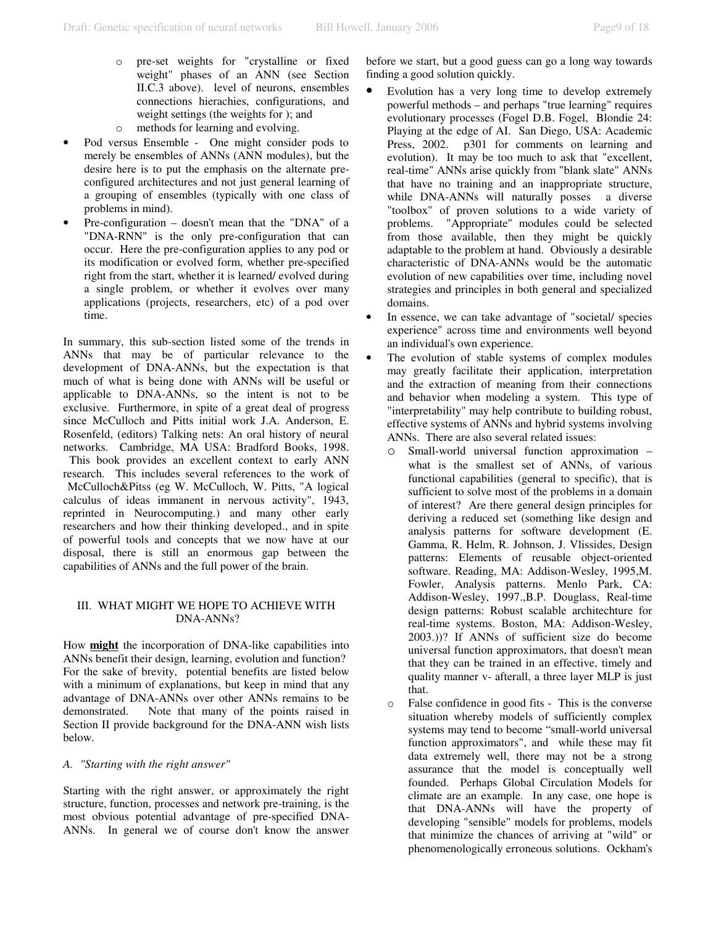- o pre-set weights for "crystalline or fixed weight" phases of an ANN (see Section II.C.3 above). level of neurons, ensembles connections hierachies, configurations, and weight settings (the weights for ); and
- o methods for learning and evolving.
- Pod versus Ensemble One might consider pods to merely be ensembles of ANNs (ANN modules), but the desire here is to put the emphasis on the alternate preconfigured architectures and not just general learning of a grouping of ensembles (typically with one class of problems in mind).
- Pre-configuration doesn't mean that the "DNA" of a "DNA-RNN" is the only pre-configuration that can occur. Here the pre-configuration applies to any pod or its modification or evolved form, whether pre-specified right from the start, whether it is learned/ evolved during a single problem, or whether it evolves over many applications (projects, researchers, etc) of a pod over time.

In summary, this sub-section listed some of the trends in ANNs that may be of particular relevance to the development of DNA-ANNs, but the expectation is that much of what is being done with ANNs will be useful or applicable to DNA-ANNs, so the intent is not to be exclusive. Furthermore, in spite of a great deal of progress since McCulloch and Pitts initial work J.A. Anderson, E. Rosenfeld, (editors) Talking nets: An oral history of neural networks. Cambridge, MA USA: Bradford Books, 1998. This book provides an excellent context to early ANN research. This includes several references to the work of McCulloch&Pitss (eg W. McCulloch, W. Pitts, "A logical calculus of ideas immanent in nervous activity", 1943, reprinted in Neurocomputing.) and many other early researchers and how their thinking developed., and in spite of powerful tools and concepts that we now have at our disposal, there is still an enormous gap between the capabilities of ANNs and the full power of the brain.

## III. WHAT MIGHT WE HOPE TO ACHIEVE WITH DNA-ANNs?

How **might** the incorporation of DNA-like capabilities into ANNs benefit their design, learning, evolution and function? For the sake of brevity, potential benefits are listed below with a minimum of explanations, but keep in mind that any advantage of DNA-ANNs over other ANNs remains to be demonstrated. Note that many of the points raised in Section II provide background for the DNA-ANN wish lists below.

# *A. "Starting with the right answer"*

Starting with the right answer, or approximately the right structure, function, processes and network pre-training, is the most obvious potential advantage of pre-specified DNA-ANNs. In general we of course don't know the answer before we start, but a good guess can go a long way towards finding a good solution quickly.

- Evolution has a very long time to develop extremely powerful methods – and perhaps "true learning" requires evolutionary processes (Fogel D.B. Fogel, Blondie 24: Playing at the edge of AI. San Diego, USA: Academic Press, 2002. p301 for comments on learning and evolution). It may be too much to ask that "excellent, real-time" ANNs arise quickly from "blank slate" ANNs that have no training and an inappropriate structure, while DNA-ANNs will naturally posses a diverse "toolbox" of proven solutions to a wide variety of problems. "Appropriate" modules could be selected from those available, then they might be quickly adaptable to the problem at hand. Obviously a desirable characteristic of DNA-ANNs would be the automatic evolution of new capabilities over time, including novel strategies and principles in both general and specialized domains.
- In essence, we can take advantage of "societal/ species" experience" across time and environments well beyond an individual's own experience.
- The evolution of stable systems of complex modules may greatly facilitate their application, interpretation and the extraction of meaning from their connections and behavior when modeling a system. This type of "interpretability" may help contribute to building robust, effective systems of ANNs and hybrid systems involving ANNs. There are also several related issues:
	- o Small-world universal function approximation what is the smallest set of ANNs, of various functional capabilities (general to specific), that is sufficient to solve most of the problems in a domain of interest? Are there general design principles for deriving a reduced set (something like design and analysis patterns for software development (E. Gamma, R. Helm, R. Johnson, J. Vlissides, Design patterns: Elements of reusable object-oriented software. Reading, MA: Addison-Wesley, 1995,M. Fowler, Analysis patterns. Menlo Park, CA: Addison-Wesley, 1997.,B.P. Douglass, Real-time design patterns: Robust scalable architechture for real-time systems. Boston, MA: Addison-Wesley, 2003.))? If ANNs of sufficient size do become universal function approximators, that doesn't mean that they can be trained in an effective, timely and quality manner v- afterall, a three layer MLP is just that.
	- o False confidence in good fits This is the converse situation whereby models of sufficiently complex systems may tend to become "small-world universal function approximators", and while these may fit data extremely well, there may not be a strong assurance that the model is conceptually well founded. Perhaps Global Circulation Models for climate are an example. In any case, one hope is that DNA-ANNs will have the property of developing "sensible" models for problems, models that minimize the chances of arriving at "wild" or phenomenologically erroneous solutions. Ockham's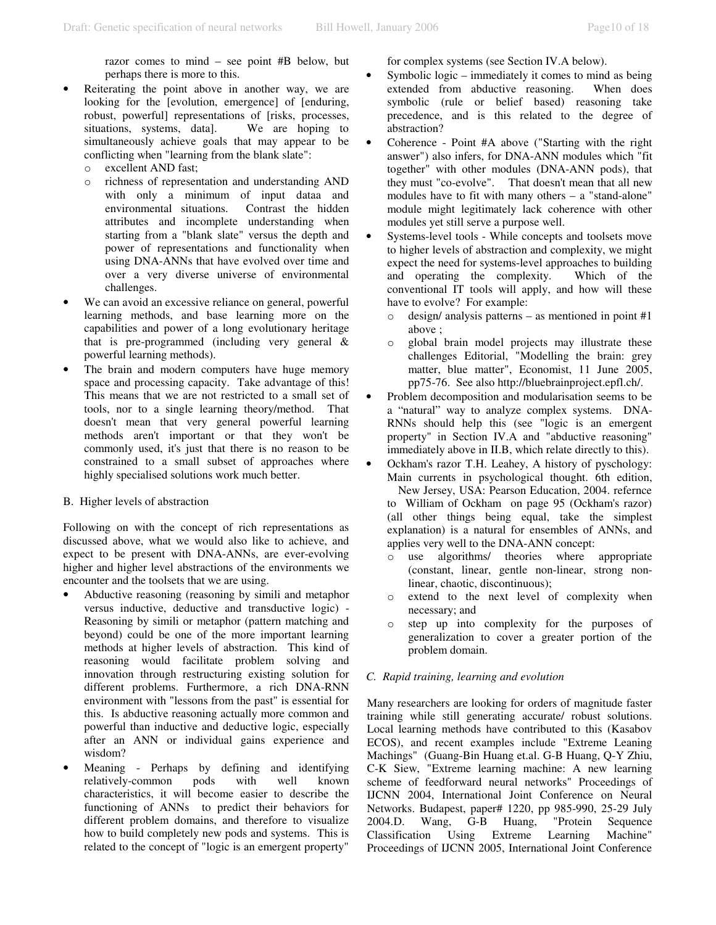razor comes to mind – see point #B below, but perhaps there is more to this.

- Reiterating the point above in another way, we are looking for the [evolution, emergence] of [enduring, robust, powerful] representations of [risks, processes, situations, systems, data]. We are hoping to situations, systems, data]. simultaneously achieve goals that may appear to be conflicting when "learning from the blank slate":
	- o excellent AND fast;
	- o richness of representation and understanding AND with only a minimum of input dataa and environmental situations. Contrast the hidden attributes and incomplete understanding when starting from a "blank slate" versus the depth and power of representations and functionality when using DNA-ANNs that have evolved over time and over a very diverse universe of environmental challenges.
- We can avoid an excessive reliance on general, powerful learning methods, and base learning more on the capabilities and power of a long evolutionary heritage that is pre-programmed (including very general & powerful learning methods).
- The brain and modern computers have huge memory space and processing capacity. Take advantage of this! This means that we are not restricted to a small set of tools, nor to a single learning theory/method. That doesn't mean that very general powerful learning methods aren't important or that they won't be commonly used, it's just that there is no reason to be constrained to a small subset of approaches where highly specialised solutions work much better.
- B. Higher levels of abstraction

Following on with the concept of rich representations as discussed above, what we would also like to achieve, and expect to be present with DNA-ANNs, are ever-evolving higher and higher level abstractions of the environments we encounter and the toolsets that we are using.

- Abductive reasoning (reasoning by simili and metaphor versus inductive, deductive and transductive logic) - Reasoning by simili or metaphor (pattern matching and beyond) could be one of the more important learning methods at higher levels of abstraction. This kind of reasoning would facilitate problem solving and innovation through restructuring existing solution for different problems. Furthermore, a rich DNA-RNN environment with "lessons from the past" is essential for this. Is abductive reasoning actually more common and powerful than inductive and deductive logic, especially after an ANN or individual gains experience and wisdom?
- Meaning Perhaps by defining and identifying relatively-common pods with well known characteristics, it will become easier to describe the functioning of ANNs to predict their behaviors for different problem domains, and therefore to visualize how to build completely new pods and systems. This is related to the concept of "logic is an emergent property"

for complex systems (see Section IV.A below).

- Symbolic logic immediately it comes to mind as being extended from abductive reasoning. When does symbolic (rule or belief based) reasoning take precedence, and is this related to the degree of abstraction?
- Coherence Point #A above ("Starting with the right answer") also infers, for DNA-ANN modules which "fit together" with other modules (DNA-ANN pods), that they must "co-evolve". That doesn't mean that all new modules have to fit with many others – a "stand-alone" module might legitimately lack coherence with other modules yet still serve a purpose well.
- Systems-level tools While concepts and toolsets move to higher levels of abstraction and complexity, we might expect the need for systems-level approaches to building and operating the complexity. Which of the conventional IT tools will apply, and how will these have to evolve? For example:
	- o design/ analysis patterns as mentioned in point #1 above ;
	- o global brain model projects may illustrate these challenges Editorial, "Modelling the brain: grey matter, blue matter", Economist, 11 June 2005, pp75-76. See also http://bluebrainproject.epfl.ch/.
- Problem decomposition and modularisation seems to be a "natural" way to analyze complex systems. DNA-RNNs should help this (see "logic is an emergent property" in Section IV.A and "abductive reasoning" immediately above in II.B, which relate directly to this).
	- Ockham's razor T.H. Leahey, A history of pyschology: Main currents in psychological thought. 6th edition, New Jersey, USA: Pearson Education, 2004. refernce to William of Ockham on page 95 (Ockham's razor) (all other things being equal, take the simplest explanation) is a natural for ensembles of ANNs, and applies very well to the DNA-ANN concept:
	- o use algorithms/ theories where appropriate (constant, linear, gentle non-linear, strong nonlinear, chaotic, discontinuous);
	- o extend to the next level of complexity when necessary; and
	- o step up into complexity for the purposes of generalization to cover a greater portion of the problem domain.

# *C. Rapid training, learning and evolution*

Many researchers are looking for orders of magnitude faster training while still generating accurate/ robust solutions. Local learning methods have contributed to this (Kasabov ECOS), and recent examples include "Extreme Leaning Machings" (Guang-Bin Huang et.al. G-B Huang, Q-Y Zhiu, C-K Siew, "Extreme learning machine: A new learning scheme of feedforward neural networks" Proceedings of IJCNN 2004, International Joint Conference on Neural Networks. Budapest, paper# 1220, pp 985-990, 25-29 July 2004.D. Wang, G-B Huang, "Protein Sequence  $2004.D.$  Wang,  $G-B$  Huang, Classification Using Extreme Learning Machine" Proceedings of IJCNN 2005, International Joint Conference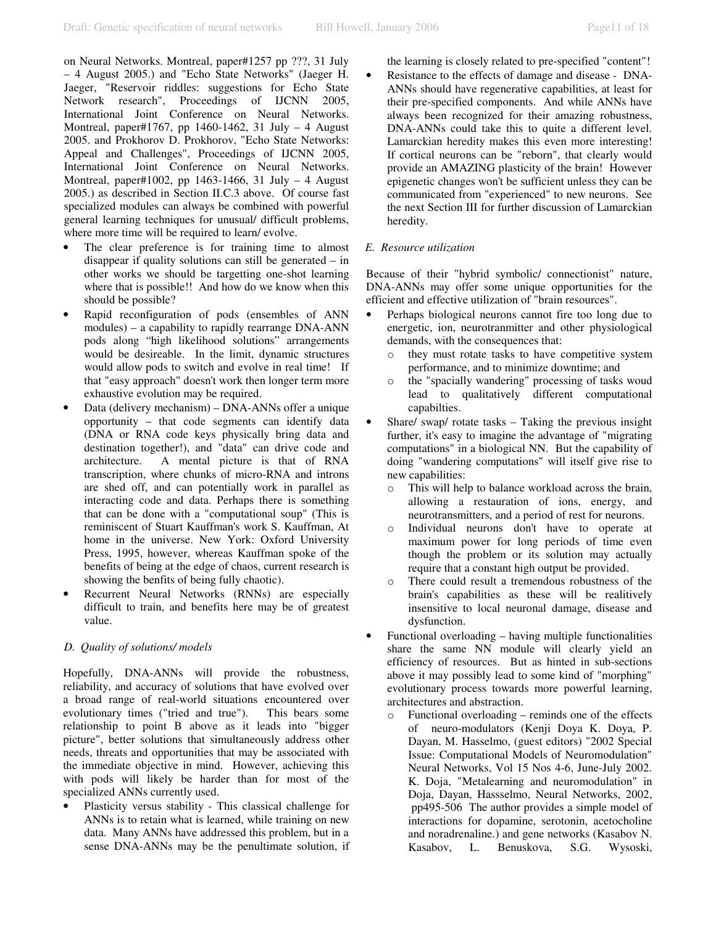on Neural Networks. Montreal, paper#1257 pp ???, 31 July – 4 August 2005.) and "Echo State Networks" (Jaeger H. Jaeger, "Reservoir riddles: suggestions for Echo State Network research", Proceedings of IJCNN 2005, International Joint Conference on Neural Networks. Montreal, paper#1767, pp 1460-1462, 31 July – 4 August 2005. and Prokhorov D. Prokhorov, "Echo State Networks: Appeal and Challenges", Proceedings of IJCNN 2005, International Joint Conference on Neural Networks. Montreal, paper#1002, pp 1463-1466, 31 July – 4 August 2005.) as described in Section II.C.3 above. Of course fast specialized modules can always be combined with powerful general learning techniques for unusual/ difficult problems, where more time will be required to learn/ evolve.

- The clear preference is for training time to almost disappear if quality solutions can still be generated – in other works we should be targetting one-shot learning where that is possible!! And how do we know when this should be possible?
- Rapid reconfiguration of pods (ensembles of ANN modules) – a capability to rapidly rearrange DNA-ANN pods along "high likelihood solutions" arrangements would be desireable. In the limit, dynamic structures would allow pods to switch and evolve in real time! If that "easy approach" doesn't work then longer term more exhaustive evolution may be required.
- Data (delivery mechanism) DNA-ANNs offer a unique opportunity – that code segments can identify data (DNA or RNA code keys physically bring data and destination together!), and "data" can drive code and architecture. A mental picture is that of RNA transcription, where chunks of micro-RNA and introns are shed off, and can potentially work in parallel as interacting code and data. Perhaps there is something that can be done with a "computational soup" (This is reminiscent of Stuart Kauffman's work S. Kauffman, At home in the universe. New York: Oxford University Press, 1995, however, whereas Kauffman spoke of the benefits of being at the edge of chaos, current research is showing the benfits of being fully chaotic).
- Recurrent Neural Networks (RNNs) are especially difficult to train, and benefits here may be of greatest value.

## *D. Quality of solutions/ models*

Hopefully, DNA-ANNs will provide the robustness, reliability, and accuracy of solutions that have evolved over a broad range of real-world situations encountered over evolutionary times ("tried and true"). This bears some relationship to point B above as it leads into "bigger picture", better solutions that simultaneously address other needs, threats and opportunities that may be associated with the immediate objective in mind. However, achieving this with pods will likely be harder than for most of the specialized ANNs currently used.

• Plasticity versus stability - This classical challenge for ANNs is to retain what is learned, while training on new data. Many ANNs have addressed this problem, but in a sense DNA-ANNs may be the penultimate solution, if the learning is closely related to pre-specified "content"! Resistance to the effects of damage and disease - DNA-ANNs should have regenerative capabilities, at least for their pre-specified components. And while ANNs have always been recognized for their amazing robustness, DNA-ANNs could take this to quite a different level. Lamarckian heredity makes this even more interesting! If cortical neurons can be "reborn", that clearly would provide an AMAZING plasticity of the brain! However epigenetic changes won't be sufficient unless they can be communicated from "experienced" to new neurons. See the next Section III for further discussion of Lamarckian heredity.

### *E. Resource utilization*

Because of their "hybrid symbolic/ connectionist" nature, DNA-ANNs may offer some unique opportunities for the efficient and effective utilization of "brain resources".

- Perhaps biological neurons cannot fire too long due to energetic, ion, neurotranmitter and other physiological demands, with the consequences that:
	- o they must rotate tasks to have competitive system performance, and to minimize downtime; and
	- o the "spacially wandering" processing of tasks woud lead to qualitatively different computational capabilties.
- Share/ swap/ rotate tasks Taking the previous insight further, it's easy to imagine the advantage of "migrating computations" in a biological NN. But the capability of doing "wandering computations" will itself give rise to new capabilities:
	- o This will help to balance workload across the brain, allowing a restauration of ions, energy, and neurotransmitters, and a period of rest for neurons.
	- o Individual neurons don't have to operate at maximum power for long periods of time even though the problem or its solution may actually require that a constant high output be provided.
	- o There could result a tremendous robustness of the brain's capabilities as these will be realitively insensitive to local neuronal damage, disease and dysfunction.
- Functional overloading having multiple functionalities share the same NN module will clearly yield an efficiency of resources. But as hinted in sub-sections above it may possibly lead to some kind of "morphing" evolutionary process towards more powerful learning, architectures and abstraction.
	- o Functional overloading reminds one of the effects of neuro-modulators (Kenji Doya K. Doya, P. Dayan, M. Hasselmo, (guest editors) "2002 Special Issue: Computational Models of Neuromodulation" Neural Networks, Vol 15 Nos 4-6, June-July 2002. K. Doja, "Metalearning and neuromodulation" in Doja, Dayan, Hassselmo, Neural Networks, 2002, pp495-506 The author provides a simple model of interactions for dopamine, serotonin, acetocholine and noradrenaline.) and gene networks (Kasabov N. Kasabov, L. Benuskova, S.G. Wysoski,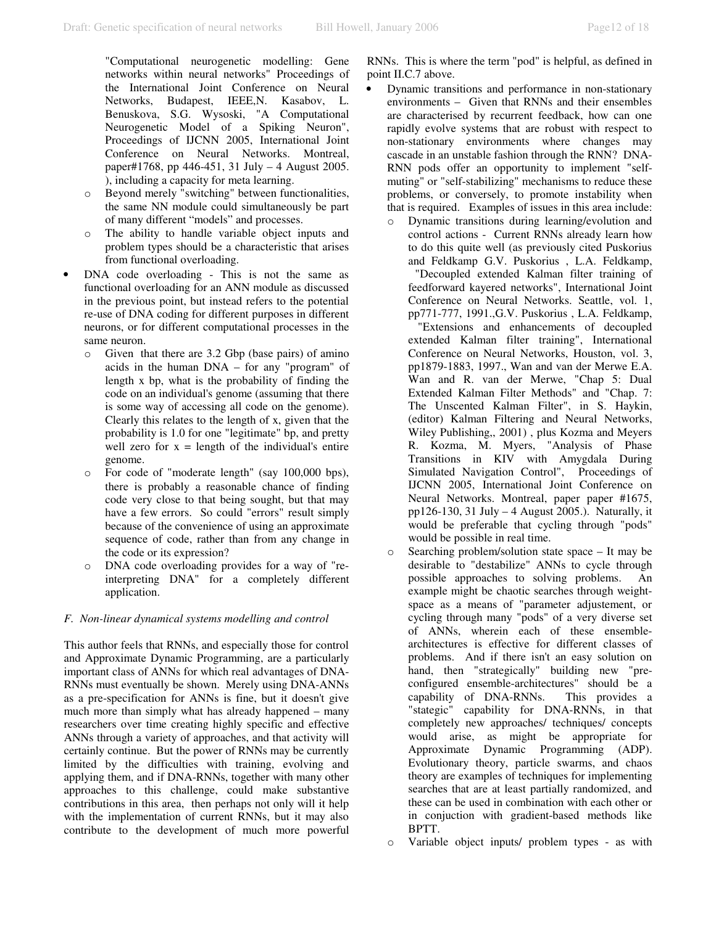"Computational neurogenetic modelling: Gene networks within neural networks" Proceedings of the International Joint Conference on Neural Networks, Budapest, IEEE,N. Kasabov, L. Benuskova, S.G. Wysoski, "A Computational Neurogenetic Model of a Spiking Neuron", Proceedings of IJCNN 2005, International Joint Conference on Neural Networks. Montreal, paper#1768, pp 446-451, 31 July – 4 August 2005. ), including a capacity for meta learning.

- Beyond merely "switching" between functionalities, the same NN module could simultaneously be part of many different "models" and processes.
- The ability to handle variable object inputs and problem types should be a characteristic that arises from functional overloading.
- DNA code overloading This is not the same as functional overloading for an ANN module as discussed in the previous point, but instead refers to the potential re-use of DNA coding for different purposes in different neurons, or for different computational processes in the same neuron.
	- o Given that there are 3.2 Gbp (base pairs) of amino acids in the human DNA – for any "program" of length x bp, what is the probability of finding the code on an individual's genome (assuming that there is some way of accessing all code on the genome). Clearly this relates to the length of x, given that the probability is 1.0 for one "legitimate" bp, and pretty well zero for  $x =$  length of the individual's entire genome.
	- o For code of "moderate length" (say 100,000 bps), there is probably a reasonable chance of finding code very close to that being sought, but that may have a few errors. So could "errors" result simply because of the convenience of using an approximate sequence of code, rather than from any change in the code or its expression?
	- o DNA code overloading provides for a way of "reinterpreting DNA" for a completely different application.

### *F. Non-linear dynamical systems modelling and control*

This author feels that RNNs, and especially those for control and Approximate Dynamic Programming, are a particularly important class of ANNs for which real advantages of DNA-RNNs must eventually be shown. Merely using DNA-ANNs as a pre-specification for ANNs is fine, but it doesn't give much more than simply what has already happened – many researchers over time creating highly specific and effective ANNs through a variety of approaches, and that activity will certainly continue. But the power of RNNs may be currently limited by the difficulties with training, evolving and applying them, and if DNA-RNNs, together with many other approaches to this challenge, could make substantive contributions in this area, then perhaps not only will it help with the implementation of current RNNs, but it may also contribute to the development of much more powerful RNNs. This is where the term "pod" is helpful, as defined in point II.C.7 above.

- Dynamic transitions and performance in non-stationary environments – Given that RNNs and their ensembles are characterised by recurrent feedback, how can one rapidly evolve systems that are robust with respect to non-stationary environments where changes may cascade in an unstable fashion through the RNN? DNA-RNN pods offer an opportunity to implement "selfmuting" or "self-stabilizing" mechanisms to reduce these problems, or conversely, to promote instability when that is required. Examples of issues in this area include:
	- o Dynamic transitions during learning/evolution and control actions - Current RNNs already learn how to do this quite well (as previously cited Puskorius and Feldkamp G.V. Puskorius , L.A. Feldkamp, "Decoupled extended Kalman filter training of feedforward kayered networks", International Joint Conference on Neural Networks. Seattle, vol. 1, pp771-777, 1991.,G.V. Puskorius , L.A. Feldkamp, "Extensions and enhancements of decoupled extended Kalman filter training", International Conference on Neural Networks, Houston, vol. 3, pp1879-1883, 1997., Wan and van der Merwe E.A. Wan and R. van der Merwe, "Chap 5: Dual Extended Kalman Filter Methods" and "Chap. 7: The Unscented Kalman Filter", in S. Haykin, (editor) Kalman Filtering and Neural Networks, Wiley Publishing,, 2001) , plus Kozma and Meyers R. Kozma, M. Myers, "Analysis of Phase Transitions in KIV with Amygdala During Simulated Navigation Control", Proceedings of IJCNN 2005, International Joint Conference on Neural Networks. Montreal, paper paper #1675, pp126-130, 31 July – 4 August 2005.). Naturally, it would be preferable that cycling through "pods" would be possible in real time.
	- o Searching problem/solution state space It may be desirable to "destabilize" ANNs to cycle through possible approaches to solving problems. An example might be chaotic searches through weightspace as a means of "parameter adjustement, or cycling through many "pods" of a very diverse set of ANNs, wherein each of these ensemblearchitectures is effective for different classes of problems. And if there isn't an easy solution on hand, then "strategically" building new "preconfigured ensemble-architectures" should be a capability of DNA-RNNs. This provides a "stategic" capability for DNA-RNNs, in that completely new approaches/ techniques/ concepts would arise, as might be appropriate for Approximate Dynamic Programming (ADP). Evolutionary theory, particle swarms, and chaos theory are examples of techniques for implementing searches that are at least partially randomized, and these can be used in combination with each other or in conjuction with gradient-based methods like BPTT.
	- o Variable object inputs/ problem types as with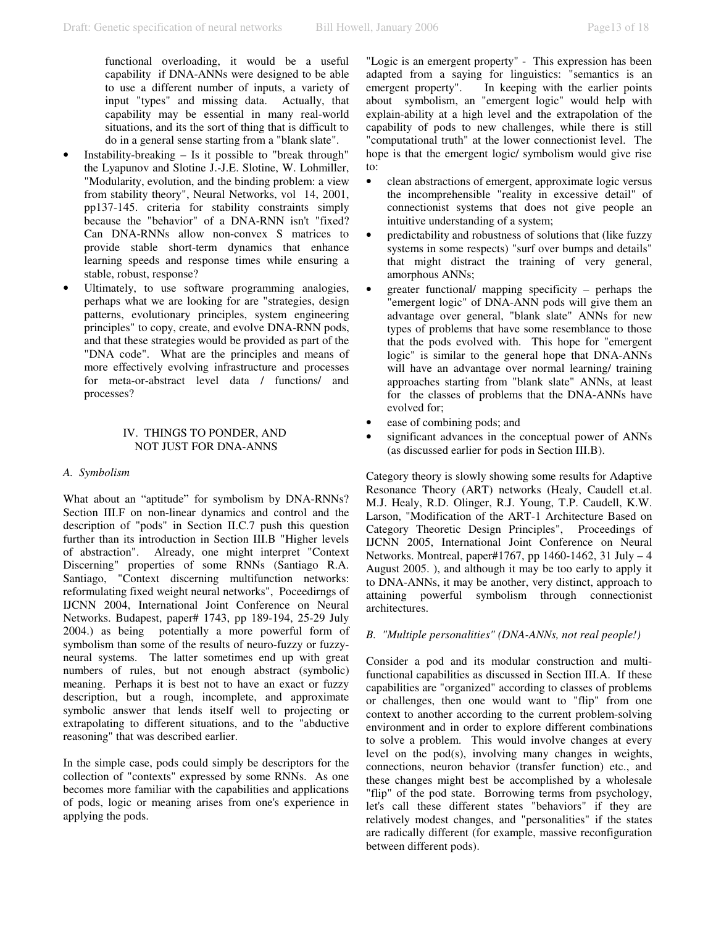functional overloading, it would be a useful capability if DNA-ANNs were designed to be able to use a different number of inputs, a variety of input "types" and missing data. Actually, that capability may be essential in many real-world situations, and its the sort of thing that is difficult to do in a general sense starting from a "blank slate".

- Instability-breaking Is it possible to "break through" the Lyapunov and Slotine J.-J.E. Slotine, W. Lohmiller, "Modularity, evolution, and the binding problem: a view from stability theory", Neural Networks, vol 14, 2001, pp137-145. criteria for stability constraints simply because the "behavior" of a DNA-RNN isn't "fixed? Can DNA-RNNs allow non-convex S matrices to provide stable short-term dynamics that enhance learning speeds and response times while ensuring a stable, robust, response?
- Ultimately, to use software programming analogies, perhaps what we are looking for are "strategies, design patterns, evolutionary principles, system engineering principles" to copy, create, and evolve DNA-RNN pods, and that these strategies would be provided as part of the "DNA code". What are the principles and means of more effectively evolving infrastructure and processes for meta-or-abstract level data / functions/ and processes?

### IV. THINGS TO PONDER, AND NOT JUST FOR DNA-ANNS

### *A. Symbolism*

What about an "aptitude" for symbolism by DNA-RNNs? Section III.F on non-linear dynamics and control and the description of "pods" in Section II.C.7 push this question further than its introduction in Section III.B "Higher levels of abstraction". Already, one might interpret "Context Discerning" properties of some RNNs (Santiago R.A. Santiago, "Context discerning multifunction networks: reformulating fixed weight neural networks", Poceedirngs of IJCNN 2004, International Joint Conference on Neural Networks. Budapest, paper# 1743, pp 189-194, 25-29 July 2004.) as being potentially a more powerful form of symbolism than some of the results of neuro-fuzzy or fuzzyneural systems. The latter sometimes end up with great numbers of rules, but not enough abstract (symbolic) meaning. Perhaps it is best not to have an exact or fuzzy description, but a rough, incomplete, and approximate symbolic answer that lends itself well to projecting or extrapolating to different situations, and to the "abductive reasoning" that was described earlier.

In the simple case, pods could simply be descriptors for the collection of "contexts" expressed by some RNNs. As one becomes more familiar with the capabilities and applications of pods, logic or meaning arises from one's experience in applying the pods.

"Logic is an emergent property" - This expression has been adapted from a saying for linguistics: "semantics is an emergent property". In keeping with the earlier points about symbolism, an "emergent logic" would help with explain-ability at a high level and the extrapolation of the capability of pods to new challenges, while there is still "computational truth" at the lower connectionist level. The hope is that the emergent logic/ symbolism would give rise to:

- clean abstractions of emergent, approximate logic versus the incomprehensible "reality in excessive detail" of connectionist systems that does not give people an intuitive understanding of a system;
- predictability and robustness of solutions that (like fuzzy systems in some respects) "surf over bumps and details" that might distract the training of very general, amorphous ANNs;
- greater functional/ mapping specificity perhaps the "emergent logic" of DNA-ANN pods will give them an advantage over general, "blank slate" ANNs for new types of problems that have some resemblance to those that the pods evolved with. This hope for "emergent logic" is similar to the general hope that DNA-ANNs will have an advantage over normal learning/ training approaches starting from "blank slate" ANNs, at least for the classes of problems that the DNA-ANNs have evolved for;
- ease of combining pods; and
- significant advances in the conceptual power of ANNs (as discussed earlier for pods in Section III.B).

Category theory is slowly showing some results for Adaptive Resonance Theory (ART) networks (Healy, Caudell et.al. M.J. Healy, R.D. Olinger, R.J. Young, T.P. Caudell, K.W. Larson, "Modification of the ART-1 Architecture Based on Category Theoretic Design Principles", Proceedings of IJCNN 2005, International Joint Conference on Neural Networks. Montreal, paper#1767, pp 1460-1462, 31 July – 4 August 2005. ), and although it may be too early to apply it to DNA-ANNs, it may be another, very distinct, approach to attaining powerful symbolism through connectionist architectures.

### *B. "Multiple personalities" (DNA-ANNs, not real people!)*

Consider a pod and its modular construction and multifunctional capabilities as discussed in Section III.A. If these capabilities are "organized" according to classes of problems or challenges, then one would want to "flip" from one context to another according to the current problem-solving environment and in order to explore different combinations to solve a problem. This would involve changes at every level on the pod(s), involving many changes in weights, connections, neuron behavior (transfer function) etc., and these changes might best be accomplished by a wholesale "flip" of the pod state. Borrowing terms from psychology, let's call these different states "behaviors" if they are relatively modest changes, and "personalities" if the states are radically different (for example, massive reconfiguration between different pods).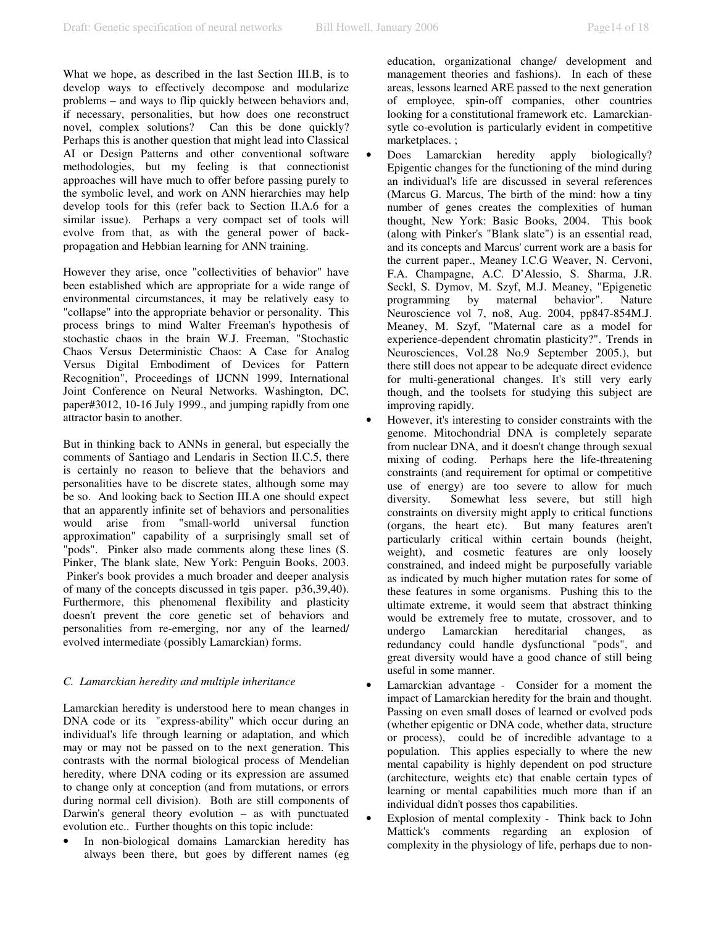What we hope, as described in the last Section III.B, is to develop ways to effectively decompose and modularize problems – and ways to flip quickly between behaviors and, if necessary, personalities, but how does one reconstruct novel, complex solutions? Can this be done quickly? Perhaps this is another question that might lead into Classical AI or Design Patterns and other conventional software methodologies, but my feeling is that connectionist approaches will have much to offer before passing purely to the symbolic level, and work on ANN hierarchies may help develop tools for this (refer back to Section II.A.6 for a similar issue). Perhaps a very compact set of tools will evolve from that, as with the general power of backpropagation and Hebbian learning for ANN training.

However they arise, once "collectivities of behavior" have been established which are appropriate for a wide range of environmental circumstances, it may be relatively easy to "collapse" into the appropriate behavior or personality. This process brings to mind Walter Freeman's hypothesis of stochastic chaos in the brain W.J. Freeman, "Stochastic Chaos Versus Deterministic Chaos: A Case for Analog Versus Digital Embodiment of Devices for Pattern Recognition", Proceedings of IJCNN 1999, International Joint Conference on Neural Networks. Washington, DC, paper#3012, 10-16 July 1999., and jumping rapidly from one attractor basin to another.

But in thinking back to ANNs in general, but especially the comments of Santiago and Lendaris in Section II.C.5, there is certainly no reason to believe that the behaviors and personalities have to be discrete states, although some may be so. And looking back to Section III.A one should expect that an apparently infinite set of behaviors and personalities would arise from "small-world universal function approximation" capability of a surprisingly small set of "pods". Pinker also made comments along these lines (S. Pinker, The blank slate, New York: Penguin Books, 2003. Pinker's book provides a much broader and deeper analysis of many of the concepts discussed in tgis paper. p36,39,40). Furthermore, this phenomenal flexibility and plasticity doesn't prevent the core genetic set of behaviors and personalities from re-emerging, nor any of the learned/ evolved intermediate (possibly Lamarckian) forms.

## *C. Lamarckian heredity and multiple inheritance*

Lamarckian heredity is understood here to mean changes in DNA code or its "express-ability" which occur during an individual's life through learning or adaptation, and which may or may not be passed on to the next generation. This contrasts with the normal biological process of Mendelian heredity, where DNA coding or its expression are assumed to change only at conception (and from mutations, or errors during normal cell division). Both are still components of Darwin's general theory evolution – as with punctuated evolution etc.. Further thoughts on this topic include:

In non-biological domains Lamarckian heredity has always been there, but goes by different names (eg education, organizational change/ development and management theories and fashions). In each of these areas, lessons learned ARE passed to the next generation of employee, spin-off companies, other countries looking for a constitutional framework etc. Lamarckiansytle co-evolution is particularly evident in competitive marketplaces. ;

- Does Lamarckian heredity apply biologically? Epigentic changes for the functioning of the mind during an individual's life are discussed in several references (Marcus G. Marcus, The birth of the mind: how a tiny number of genes creates the complexities of human thought, New York: Basic Books, 2004. This book (along with Pinker's "Blank slate") is an essential read, and its concepts and Marcus' current work are a basis for the current paper., Meaney I.C.G Weaver, N. Cervoni, F.A. Champagne, A.C. D'Alessio, S. Sharma, J.R. Seckl, S. Dymov, M. Szyf, M.J. Meaney, "Epigenetic programming by maternal behavior". Nature Neuroscience vol 7, no8, Aug. 2004, pp847-854M.J. Meaney, M. Szyf, "Maternal care as a model for experience-dependent chromatin plasticity?". Trends in Neurosciences, Vol.28 No.9 September 2005.), but there still does not appear to be adequate direct evidence for multi-generational changes. It's still very early though, and the toolsets for studying this subject are improving rapidly.
- However, it's interesting to consider constraints with the genome. Mitochondrial DNA is completely separate from nuclear DNA, and it doesn't change through sexual mixing of coding. Perhaps here the life-threatening constraints (and requirement for optimal or competitive use of energy) are too severe to allow for much diversity. Somewhat less severe, but still high constraints on diversity might apply to critical functions (organs, the heart etc). But many features aren't particularly critical within certain bounds (height, weight), and cosmetic features are only loosely constrained, and indeed might be purposefully variable as indicated by much higher mutation rates for some of these features in some organisms. Pushing this to the ultimate extreme, it would seem that abstract thinking would be extremely free to mutate, crossover, and to undergo Lamarckian hereditarial changes, as redundancy could handle dysfunctional "pods", and great diversity would have a good chance of still being useful in some manner.
- Lamarckian advantage Consider for a moment the impact of Lamarckian heredity for the brain and thought. Passing on even small doses of learned or evolved pods (whether epigentic or DNA code, whether data, structure or process), could be of incredible advantage to a population. This applies especially to where the new mental capability is highly dependent on pod structure (architecture, weights etc) that enable certain types of learning or mental capabilities much more than if an individual didn't posses thos capabilities.
- Explosion of mental complexity Think back to John Mattick's comments regarding an explosion of complexity in the physiology of life, perhaps due to non-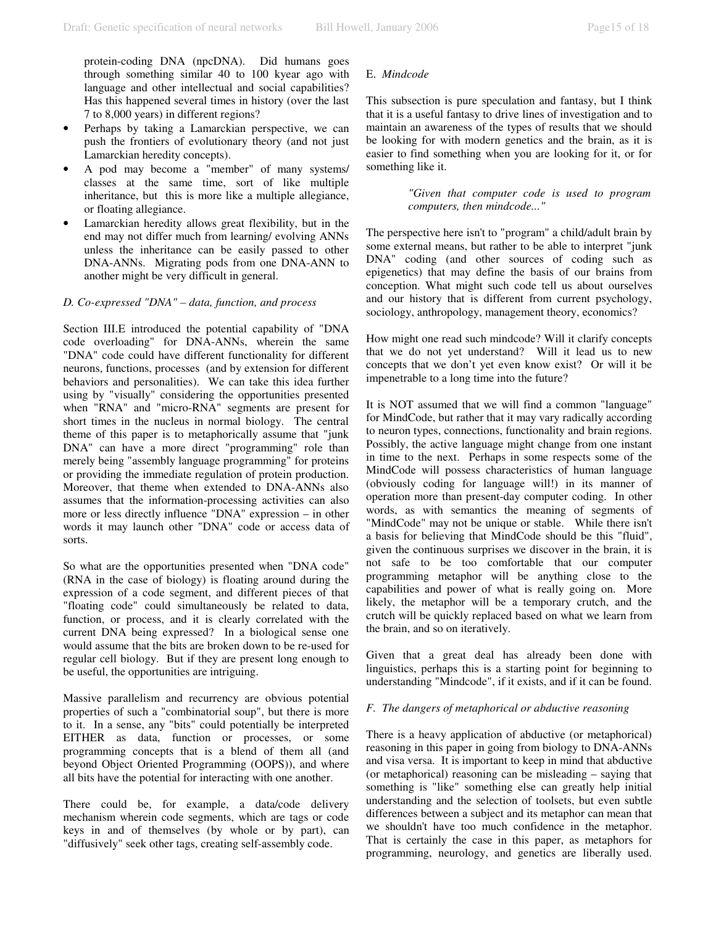protein-coding DNA (npcDNA). Did humans goes through something similar 40 to 100 kyear ago with language and other intellectual and social capabilities? Has this happened several times in history (over the last 7 to 8,000 years) in different regions?

- Perhaps by taking a Lamarckian perspective, we can push the frontiers of evolutionary theory (and not just Lamarckian heredity concepts).
- A pod may become a "member" of many systems/ classes at the same time, sort of like multiple inheritance, but this is more like a multiple allegiance, or floating allegiance.
- Lamarckian heredity allows great flexibility, but in the end may not differ much from learning/ evolving ANNs unless the inheritance can be easily passed to other DNA-ANNs. Migrating pods from one DNA-ANN to another might be very difficult in general.

### *D. Co-expressed "DNA" – data, function, and process*

Section III.E introduced the potential capability of "DNA code overloading" for DNA-ANNs, wherein the same "DNA" code could have different functionality for different neurons, functions, processes (and by extension for different behaviors and personalities). We can take this idea further using by "visually" considering the opportunities presented when "RNA" and "micro-RNA" segments are present for short times in the nucleus in normal biology. The central theme of this paper is to metaphorically assume that "junk DNA" can have a more direct "programming" role than merely being "assembly language programming" for proteins or providing the immediate regulation of protein production. Moreover, that theme when extended to DNA-ANNs also assumes that the information-processing activities can also more or less directly influence "DNA" expression – in other words it may launch other "DNA" code or access data of sorts.

So what are the opportunities presented when "DNA code" (RNA in the case of biology) is floating around during the expression of a code segment, and different pieces of that "floating code" could simultaneously be related to data, function, or process, and it is clearly correlated with the current DNA being expressed? In a biological sense one would assume that the bits are broken down to be re-used for regular cell biology. But if they are present long enough to be useful, the opportunities are intriguing.

Massive parallelism and recurrency are obvious potential properties of such a "combinatorial soup", but there is more to it. In a sense, any "bits" could potentially be interpreted EITHER as data, function or processes, or some programming concepts that is a blend of them all (and beyond Object Oriented Programming (OOPS)), and where all bits have the potential for interacting with one another.

There could be, for example, a data/code delivery mechanism wherein code segments, which are tags or code keys in and of themselves (by whole or by part), can "diffusively" seek other tags, creating self-assembly code.

# E. *Mindcode*

This subsection is pure speculation and fantasy, but I think that it is a useful fantasy to drive lines of investigation and to maintain an awareness of the types of results that we should be looking for with modern genetics and the brain, as it is easier to find something when you are looking for it, or for something like it.

> *"Given that computer code is used to program computers, then mindcode..."*

The perspective here isn't to "program" a child/adult brain by some external means, but rather to be able to interpret "junk DNA" coding (and other sources of coding such as epigenetics) that may define the basis of our brains from conception. What might such code tell us about ourselves and our history that is different from current psychology, sociology, anthropology, management theory, economics?

How might one read such mindcode? Will it clarify concepts that we do not yet understand? Will it lead us to new concepts that we don't yet even know exist? Or will it be impenetrable to a long time into the future?

It is NOT assumed that we will find a common "language" for MindCode, but rather that it may vary radically according to neuron types, connections, functionality and brain regions. Possibly, the active language might change from one instant in time to the next. Perhaps in some respects some of the MindCode will possess characteristics of human language (obviously coding for language will!) in its manner of operation more than present-day computer coding. In other words, as with semantics the meaning of segments of "MindCode" may not be unique or stable. While there isn't a basis for believing that MindCode should be this "fluid", given the continuous surprises we discover in the brain, it is not safe to be too comfortable that our computer programming metaphor will be anything close to the capabilities and power of what is really going on. More likely, the metaphor will be a temporary crutch, and the crutch will be quickly replaced based on what we learn from the brain, and so on iteratively.

Given that a great deal has already been done with linguistics, perhaps this is a starting point for beginning to understanding "Mindcode", if it exists, and if it can be found.

### *F. The dangers of metaphorical or abductive reasoning*

There is a heavy application of abductive (or metaphorical) reasoning in this paper in going from biology to DNA-ANNs and visa versa. It is important to keep in mind that abductive (or metaphorical) reasoning can be misleading – saying that something is "like" something else can greatly help initial understanding and the selection of toolsets, but even subtle differences between a subject and its metaphor can mean that we shouldn't have too much confidence in the metaphor. That is certainly the case in this paper, as metaphors for programming, neurology, and genetics are liberally used.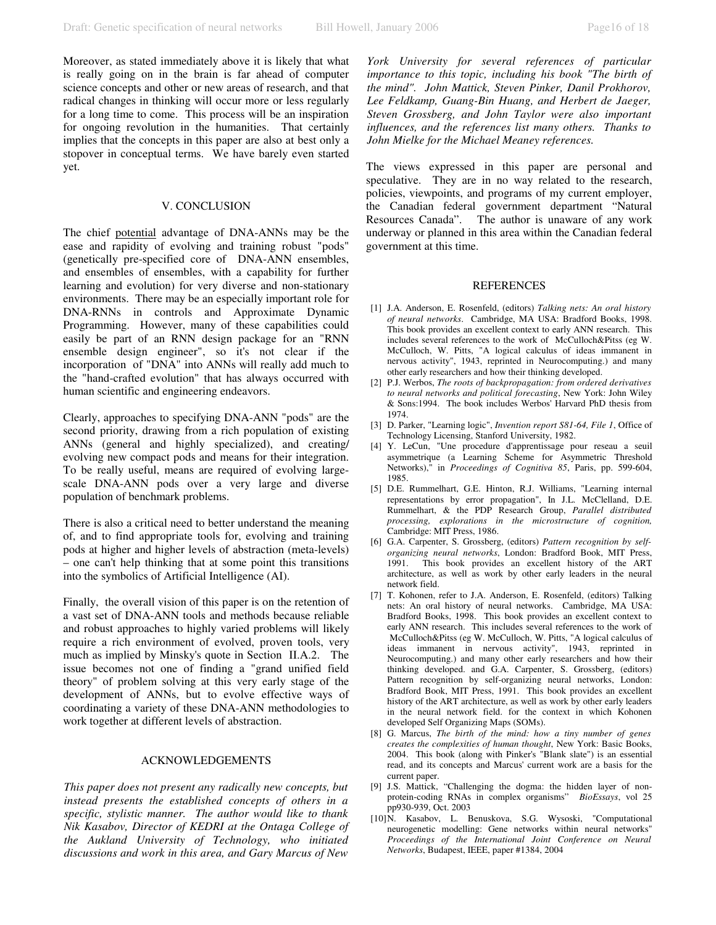Moreover, as stated immediately above it is likely that what is really going on in the brain is far ahead of computer science concepts and other or new areas of research, and that radical changes in thinking will occur more or less regularly for a long time to come. This process will be an inspiration for ongoing revolution in the humanities. That certainly implies that the concepts in this paper are also at best only a stopover in conceptual terms. We have barely even started yet.

### V. CONCLUSION

The chief potential advantage of DNA-ANNs may be the ease and rapidity of evolving and training robust "pods" (genetically pre-specified core of DNA-ANN ensembles, and ensembles of ensembles, with a capability for further learning and evolution) for very diverse and non-stationary environments. There may be an especially important role for DNA-RNNs in controls and Approximate Dynamic Programming. However, many of these capabilities could easily be part of an RNN design package for an "RNN ensemble design engineer", so it's not clear if the incorporation of "DNA" into ANNs will really add much to the "hand-crafted evolution" that has always occurred with human scientific and engineering endeavors.

Clearly, approaches to specifying DNA-ANN "pods" are the second priority, drawing from a rich population of existing ANNs (general and highly specialized), and creating/ evolving new compact pods and means for their integration. To be really useful, means are required of evolving largescale DNA-ANN pods over a very large and diverse population of benchmark problems.

There is also a critical need to better understand the meaning of, and to find appropriate tools for, evolving and training pods at higher and higher levels of abstraction (meta-levels) – one can't help thinking that at some point this transitions into the symbolics of Artificial Intelligence (AI).

Finally, the overall vision of this paper is on the retention of a vast set of DNA-ANN tools and methods because reliable and robust approaches to highly varied problems will likely require a rich environment of evolved, proven tools, very much as implied by Minsky's quote in Section II.A.2. The issue becomes not one of finding a "grand unified field theory" of problem solving at this very early stage of the development of ANNs, but to evolve effective ways of coordinating a variety of these DNA-ANN methodologies to work together at different levels of abstraction.

### ACKNOWLEDGEMENTS

*This paper does not present any radically new concepts, but instead presents the established concepts of others in a specific, stylistic manner. The author would like to thank Nik Kasabov, Director of KEDRI at the Ontaga College of the Aukland University of Technology, who initiated discussions and work in this area, and Gary Marcus of New*

*York University for several references of particular importance to this topic, including his book "The birth of the mind". John Mattick, Steven Pinker, Danil Prokhorov, Lee Feldkamp, Guang-Bin Huang, and Herbert de Jaeger, Steven Grossberg, and John Taylor were also important influences, and the references list many others. Thanks to John Mielke for the Michael Meaney references.*

The views expressed in this paper are personal and speculative. They are in no way related to the research, policies, viewpoints, and programs of my current employer, the Canadian federal government department "Natural Resources Canada". The author is unaware of any work underway or planned in this area within the Canadian federal government at this time.

### **REFERENCES**

- [1] J.A. Anderson, E. Rosenfeld, (editors) *Talking nets: An oral history of neural networks*. Cambridge, MA USA: Bradford Books, 1998. This book provides an excellent context to early ANN research. This includes several references to the work of McCulloch&Pitss (eg W. McCulloch, W. Pitts, "A logical calculus of ideas immanent in nervous activity", 1943, reprinted in Neurocomputing.) and many other early researchers and how their thinking developed.
- [2] P.J. Werbos, *The roots of backpropagation: from ordered derivatives to neural networks and political forecasting*, New York: John Wiley & Sons:1994. The book includes Werbos' Harvard PhD thesis from 1974.
- [3] D. Parker, "Learning logic", *Invention report S81-64, File 1*, Office of Technology Licensing, Stanford University, 1982.
- [4] Y. LeCun, "Une procedure d'apprentissage pour reseau a seuil asymmetrique (a Learning Scheme for Asymmetric Threshold Networks)," in *Proceedings of Cognitiva 85*, Paris, pp. 599-604, 1985.
- [5] D.E. Rummelhart, G.E. Hinton, R.J. Williams, "Learning internal representations by error propagation", In J.L. McClelland, D.E. Rummelhart, & the PDP Research Group, *Parallel distributed processing, explorations in the microstructure of cognition,* Cambridge: MIT Press, 1986.
- [6] G.A. Carpenter, S. Grossberg, (editors) *Pattern recognition by selforganizing neural networks*, London: Bradford Book, MIT Press, 1991. This book provides an excellent history of the ART architecture, as well as work by other early leaders in the neural network field.
- [7] T. Kohonen, refer to J.A. Anderson, E. Rosenfeld, (editors) Talking nets: An oral history of neural networks. Cambridge, MA USA: Bradford Books, 1998. This book provides an excellent context to early ANN research. This includes several references to the work of McCulloch&Pitss (eg W. McCulloch, W. Pitts, "A logical calculus of ideas immanent in nervous activity", 1943, reprinted in Neurocomputing.) and many other early researchers and how their thinking developed. and G.A. Carpenter, S. Grossberg, (editors) Pattern recognition by self-organizing neural networks, London: Bradford Book, MIT Press, 1991. This book provides an excellent history of the ART architecture, as well as work by other early leaders in the neural network field. for the context in which Kohonen developed Self Organizing Maps (SOMs).
- [8] G. Marcus, *The birth of the mind: how a tiny number of genes creates the complexities of human thought*, New York: Basic Books, 2004. This book (along with Pinker's "Blank slate") is an essential read, and its concepts and Marcus' current work are a basis for the current paper.
- [9] J.S. Mattick, "Challenging the dogma: the hidden layer of nonprotein-coding RNAs in complex organisms" *BioEssays*, vol 25 pp930-939, Oct. 2003
- [10]N. Kasabov, L. Benuskova, S.G. Wysoski, "Computational neurogenetic modelling: Gene networks within neural networks" *Proceedings of the International Joint Conference on Neural Networks*, Budapest, IEEE, paper #1384, 2004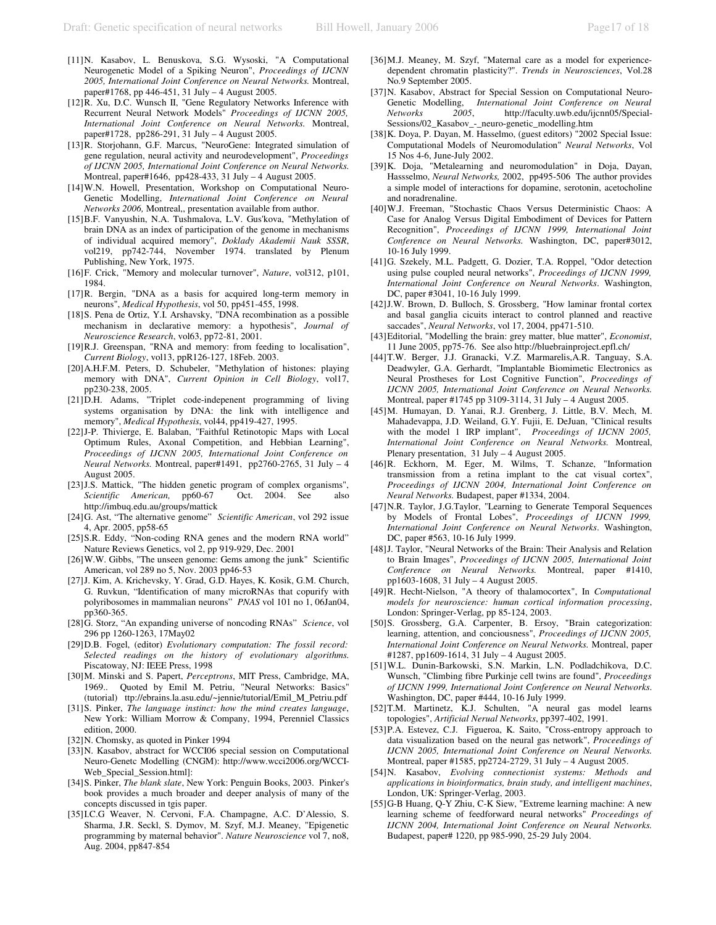- [11]N. Kasabov, L. Benuskova, S.G. Wysoski, "A Computational Neurogenetic Model of a Spiking Neuron", *Proceedings of IJCNN 2005, International Joint Conference on Neural Networks.* Montreal, paper#1768, pp 446-451, 31 July – 4 August 2005.
- [12]R. Xu, D.C. Wunsch II, "Gene Regulatory Networks Inference with Recurrent Neural Network Models" *Proceedings of IJCNN 2005, International Joint Conference on Neural Networks.* Montreal, paper#1728, pp286-291, 31 July – 4 August 2005.
- [13]R. Storjohann, G.F. Marcus, "NeuroGene: Integrated simulation of gene regulation, neural activity and neurodevelopment", *Proceedings of IJCNN 2005, International Joint Conference on Neural Networks.* Montreal, paper#1646, pp428-433, 31 July – 4 August 2005.
- [14]W.N. Howell, Presentation, Workshop on Computational Neuro-Genetic Modelling, *International Joint Conference on Neural Networks 2006,* Montreal,, presentation available from author.
- [15]B.F. Vanyushin, N.A. Tushmalova, L.V. Gus'kova, "Methylation of brain DNA as an index of participation of the genome in mechanisms of individual acquired memory", *Doklady Akademii Nauk SSSR*, vol219, pp742-744, November 1974. translated by Plenum Publishing, New York, 1975.
- [16]F. Crick, "Memory and molecular turnover", *Nature*, vol312, p101, 1984.
- [17]R. Bergin, "DNA as a basis for acquired long-term memory in neurons", *Medical Hypothesis*, vol 50, pp451-455, 1998.
- [18]S. Pena de Ortiz, Y.I. Arshavsky, "DNA recombination as a possible mechanism in declarative memory: a hypothesis", *Journal of Neuroscience Research*, vol63, pp72-81, 2001.
- [19]R.J. Greenspan, "RNA and memory: from feeding to localisation", *Current Biology*, vol13, ppR126-127, 18Feb. 2003.
- [20]A.H.F.M. Peters, D. Schubeler, "Methylation of histones: playing memory with DNA", *Current Opinion in Cell Biology*, vol17, pp230-238, 2005.
- [21]D.H. Adams, "Triplet code-indepenent programming of living systems organisation by DNA: the link with intelligence and memory", *Medical Hypothesis*, vol44, pp419-427, 1995.
- [22]J-P. Thivierge, E. Balaban, "Faithful Retinotopic Maps with Local Optimum Rules, Axonal Competition, and Hebbian Learning", *Proceedings of IJCNN 2005, International Joint Conference on Neural Networks.* Montreal, paper#1491, pp2760-2765, 31 July – 4 August 2005.
- [23] J.S. Mattick, "The hidden genetic program of complex organisms", *Scientific American,* pp60-67 Oct. 2004. See also http://imbuq.edu.au/groups/mattick
- [24]G. Ast, "The alternative genome" *Scientific American*, vol 292 issue 4, Apr. 2005, pp58-65
- [25]S.R. Eddy, "Non-coding RNA genes and the modern RNA world" Nature Reviews Genetics, vol 2, pp 919-929, Dec. 2001
- [26]W.W. Gibbs, "The unseen genome: Gems among the junk" Scientific American, vol 289 no 5, Nov. 2003 pp46-53
- [27]J. Kim, A. Krichevsky, Y. Grad, G.D. Hayes, K. Kosik, G.M. Church, G. Ruvkun, "Identification of many microRNAs that copurify with polyribosomes in mammalian neurons" *PNAS* vol 101 no 1, 06Jan04, pp360-365.
- [28]G. Storz, "An expanding universe of noncoding RNAs" *Science*, vol 296 pp 1260-1263, 17May02
- [29]D.B. Fogel, (editor) *Evolutionary computation: The fossil record: Selected readings on the history of evolutionary algorithms.* Piscatoway, NJ: IEEE Press, 1998
- [30]M. Minski and S. Papert, *Perceptrons*, MIT Press, Cambridge, MA, 1969.. Quoted by Emil M. Petriu, "Neural Networks: Basics" (tutorial) ttp://ebrains.la.asu.edu/~jennie/tutorial/Emil\_M\_Petriu.pdf
- [31]S. Pinker, *The language instinct: how the mind creates language*, New York: William Morrow & Company, 1994, Perenniel Classics edition, 2000.
- [32]N. Chomsky, as quoted in Pinker 1994
- [33]N. Kasabov, abstract for WCCI06 special session on Computational Neuro-Genetc Modelling (CNGM): http://www.wcci2006.org/WCCI-Web\_Special\_Session.html]:
- [34]S. Pinker, *The blank slate*, New York: Penguin Books, 2003. Pinker's book provides a much broader and deeper analysis of many of the concepts discussed in tgis paper.
- [35]I.C.G Weaver, N. Cervoni, F.A. Champagne, A.C. D'Alessio, S. Sharma, J.R. Seckl, S. Dymov, M. Szyf, M.J. Meaney, "Epigenetic programming by maternal behavior". *Nature Neuroscience* vol 7, no8, Aug. 2004, pp847-854
- [36]M.J. Meaney, M. Szyf, "Maternal care as a model for experiencedependent chromatin plasticity?". *Trends in Neurosciences*, Vol.28 No.9 September 2005.
- [37]N. Kasabov, Abstract for Special Session on Computational Neuro-Genetic Modelling, *International Joint Conference on Neural Networks 2005*, http://faculty.uwb.edu/ijcnn05/Special-Sessions/02\_Kasabov\_-\_neuro-genetic\_modelling.htm
- [38]K. Doya, P. Dayan, M. Hasselmo, (guest editors) "2002 Special Issue: Computational Models of Neuromodulation" *Neural Networks*, Vol 15 Nos 4-6, June-July 2002.
- [39]K. Doja, "Metalearning and neuromodulation" in Doja, Dayan, Hassselmo, *Neural Networks,* 2002, pp495-506 The author provides a simple model of interactions for dopamine, serotonin, acetocholine and noradrenaline.
- [40]W.J. Freeman, "Stochastic Chaos Versus Deterministic Chaos: A Case for Analog Versus Digital Embodiment of Devices for Pattern Recognition", *Proceedings of IJCNN 1999, International Joint Conference on Neural Networks.* Washington, DC, paper#3012, 10-16 July 1999.
- [41]G. Szekely, M.L. Padgett, G. Dozier, T.A. Roppel, "Odor detection using pulse coupled neural networks", *Proceedings of IJCNN 1999, International Joint Conference on Neural Networks*. Washington, DC, paper #3041, 10-16 July 1999.
- [42]J.W. Brown, D. Bulloch, S. Grossberg, "How laminar frontal cortex and basal ganglia cicuits interact to control planned and reactive saccades", *Neural Networks*, vol 17, 2004, pp471-510.
- [43]Editorial, "Modelling the brain: grey matter, blue matter", *Economist*, 11 June 2005, pp75-76. See also http://bluebrainproject.epfl.ch/
- [44]T.W. Berger, J.J. Granacki, V.Z. Marmarelis,A.R. Tanguay, S.A. Deadwyler, G.A. Gerhardt, "Implantable Biomimetic Electronics as Neural Prostheses for Lost Cognitive Function", *Proceedings of IJCNN 2005, International Joint Conference on Neural Networks.* Montreal, paper #1745 pp 3109-3114, 31 July – 4 August 2005.
- [45]M. Humayan, D. Yanai, R.J. Grenberg, J. Little, B.V. Mech, M. Mahadevappa, J.D. Weiland, G.Y. Fujii, E. DeJuan, "Clinical results with the model 1 IRP implant", *Proceedings of IJCNN 2005, International Joint Conference on Neural Networks.* Montreal, Plenary presentation, 31 July – 4 August 2005.
- [46]R. Eckhorn, M. Eger, M. Wilms, T. Schanze, "Information transmission from a retina implant to the cat visual cortex", *Proceedings of IJCNN 2004, International Joint Conference on Neural Networks.* Budapest, paper #1334, 2004.
- [47]N.R. Taylor, J.G.Taylor, "Learning to Generate Temporal Sequences by Models of Frontal Lobes", *Proceedings of IJCNN 1999, International Joint Conference on Neural Networks*. Washington, DC, paper #563, 10-16 July 1999.
- [48]J. Taylor, "Neural Networks of the Brain: Their Analysis and Relation to Brain Images", *Proceedings of IJCNN 2005, International Joint Conference on Neural Networks.* Montreal, paper #1410, pp1603-1608, 31 July – 4 August 2005.
- [49]R. Hecht-Nielson, "A theory of thalamocortex", In *Computational models for neuroscience: human cortical information processing*, London: Springer-Verlag, pp 85-124, 2003.
- [50]S. Grossberg, G.A. Carpenter, B. Ersoy, "Brain categorization: learning, attention, and conciousness", *Proceedings of IJCNN 2005, International Joint Conference on Neural Networks.* Montreal, paper #1287, pp1609-1614, 31 July – 4 August 2005.
- [51]W.L. Dunin-Barkowski, S.N. Markin, L.N. Podladchikova, D.C. Wunsch, "Climbing fibre Purkinje cell twins are found", *Proceedings of IJCNN 1999, International Joint Conference on Neural Networks*. Washington, DC, paper #444, 10-16 July 1999.
- [52]T.M. Martinetz, K.J. Schulten, "A neural gas model learns topologies", *Artificial Nerual Networks*, pp397-402, 1991.
- [53]P.A. Estevez, C.J. Figueroa, K. Saito, "Cross-entropy approach to data visualization based on the neural gas network", *Proceedings of IJCNN 2005, International Joint Conference on Neural Networks.* Montreal, paper #1585, pp2724-2729, 31 July – 4 August 2005.
- [54]N. Kasabov, *Evolving connectionist systems: Methods and applications in bioinformatics, brain study, and intelligent machines*, London, UK: Springer-Verlag, 2003.
- [55]G-B Huang, Q-Y Zhiu, C-K Siew, "Extreme learning machine: A new learning scheme of feedforward neural networks" *Proceedings of IJCNN 2004, International Joint Conference on Neural Networks.* Budapest, paper# 1220, pp 985-990, 25-29 July 2004.